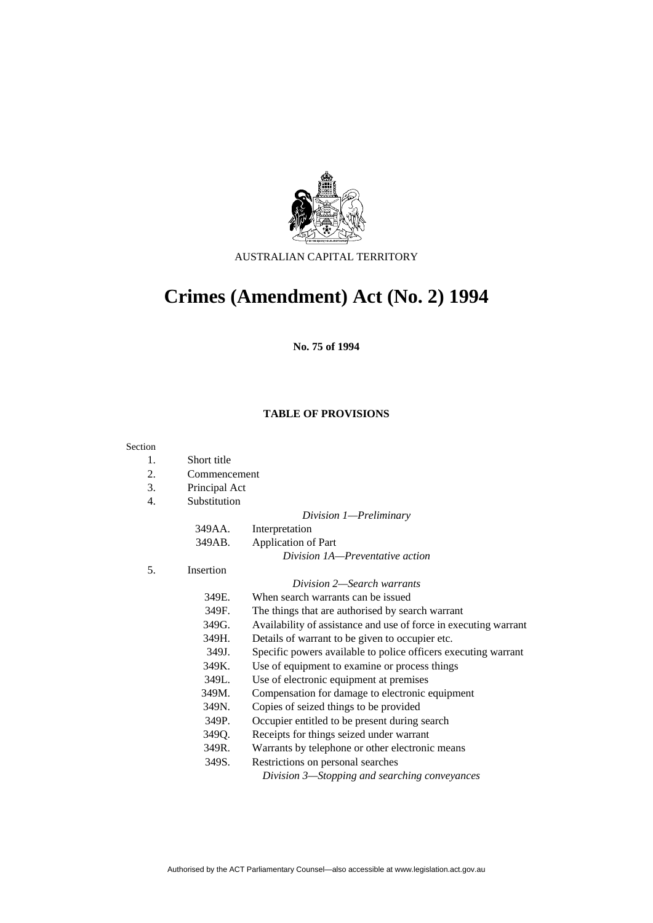

AUSTRALIAN CAPITAL TERRITORY

# **Crimes (Amendment) Act (No. 2) 1994**

**No. 75 of 1994** 

## **TABLE OF PROVISIONS**

#### Sectio

| Section |               |                                                                  |
|---------|---------------|------------------------------------------------------------------|
| 1.      | Short title   |                                                                  |
| 2.      | Commencement  |                                                                  |
| 3.      | Principal Act |                                                                  |
| 4.      | Substitution  |                                                                  |
|         |               | Division 1—Preliminary                                           |
|         | 349AA.        | Interpretation                                                   |
|         | 349AB.        | <b>Application of Part</b>                                       |
|         |               | Division 1A—Preventative action                                  |
| 5.      | Insertion     |                                                                  |
|         |               | Division 2—Search warrants                                       |
|         | 349E.         | When search warrants can be issued                               |
|         | 349F.         | The things that are authorised by search warrant                 |
|         | 349G.         | Availability of assistance and use of force in executing warrant |
|         | 349H.         | Details of warrant to be given to occupier etc.                  |
|         | 349J.         | Specific powers available to police officers executing warrant   |
|         | 349K.         | Use of equipment to examine or process things                    |
|         | 349L.         | Use of electronic equipment at premises                          |
|         | 349M.         | Compensation for damage to electronic equipment                  |
|         | 349N.         | Copies of seized things to be provided                           |
|         | 349P.         | Occupier entitled to be present during search                    |
|         | 349Q.         | Receipts for things seized under warrant                         |
|         | 349R.         | Warrants by telephone or other electronic means                  |
|         | 349S.         | Restrictions on personal searches                                |
|         |               | Division 3—Stopping and searching conveyances                    |
|         |               |                                                                  |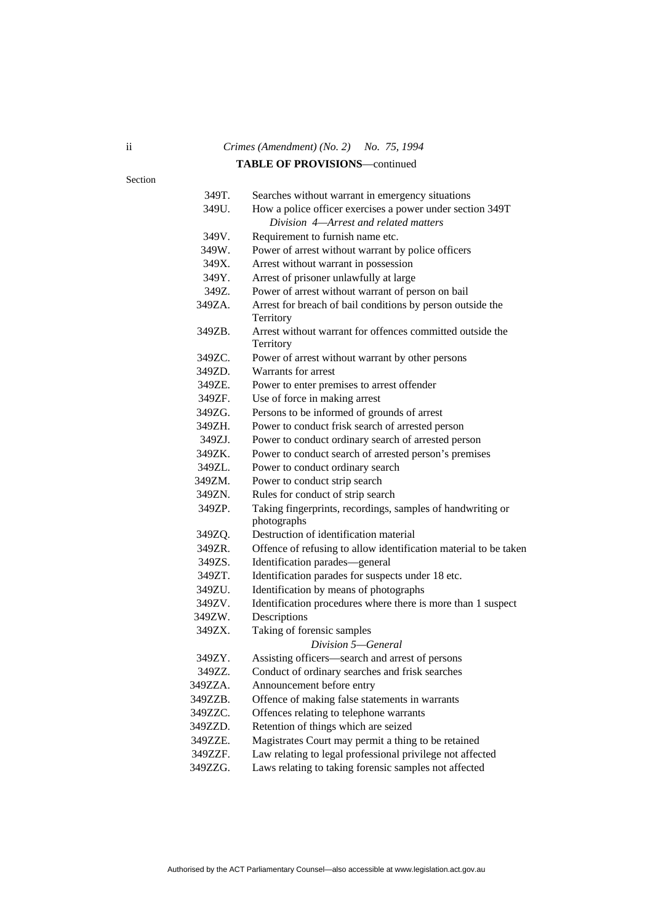# ii *Crimes (Amendment) (No. 2) No. 75, 1994*  **TABLE OF PROVISIONS**—continued

Section

| 349Т.   | Searches without warrant in emergency situations                          |
|---------|---------------------------------------------------------------------------|
| 349U.   | How a police officer exercises a power under section 349T                 |
|         | Division 4-Arrest and related matters                                     |
| 349V.   | Requirement to furnish name etc.                                          |
| 349W.   | Power of arrest without warrant by police officers                        |
| 349X.   | Arrest without warrant in possession                                      |
| 349Y.   | Arrest of prisoner unlawfully at large                                    |
| 349Z.   | Power of arrest without warrant of person on bail                         |
| 349ZA.  | Arrest for breach of bail conditions by person outside the                |
|         | Territory                                                                 |
| 349ZB.  | Arrest without warrant for offences committed outside the                 |
|         | Territory                                                                 |
| 349ZC.  | Power of arrest without warrant by other persons                          |
| 349ZD.  | Warrants for arrest                                                       |
| 349ZE.  | Power to enter premises to arrest offender                                |
| 349ZF.  | Use of force in making arrest                                             |
| 349ZG.  | Persons to be informed of grounds of arrest                               |
| 349ZH.  | Power to conduct frisk search of arrested person                          |
| 349ZJ.  | Power to conduct ordinary search of arrested person                       |
| 349ZK.  | Power to conduct search of arrested person's premises                     |
| 349ZL.  | Power to conduct ordinary search                                          |
| 349ZM.  | Power to conduct strip search                                             |
| 349ZN.  | Rules for conduct of strip search                                         |
| 349ZP.  | Taking fingerprints, recordings, samples of handwriting or<br>photographs |
| 349ZQ.  | Destruction of identification material                                    |
| 349ZR.  | Offence of refusing to allow identification material to be taken          |
| 349ZS.  | Identification parades-general                                            |
| 349ZT.  | Identification parades for suspects under 18 etc.                         |
| 349ZU.  | Identification by means of photographs                                    |
| 349ZV.  | Identification procedures where there is more than 1 suspect              |
| 349ZW.  | Descriptions                                                              |
| 349ZX.  | Taking of forensic samples                                                |
|         | Division 5-General                                                        |
| 349ZY.  | Assisting officers-search and arrest of persons                           |
| 349ZZ.  | Conduct of ordinary searches and frisk searches                           |
| 349ZZA. | Announcement before entry                                                 |
| 349ZZB. | Offence of making false statements in warrants                            |
| 349ZZC. | Offences relating to telephone warrants                                   |
| 349ZZD. | Retention of things which are seized                                      |
| 349ZZE. | Magistrates Court may permit a thing to be retained                       |
| 349ZZF. | Law relating to legal professional privilege not affected                 |
| 24077C  | فمالد مام المستمرين مائم ومستكل ماوران المفارقة مالورثية والمنافذ         |

349ZZG. Laws relating to taking forensic samples not affected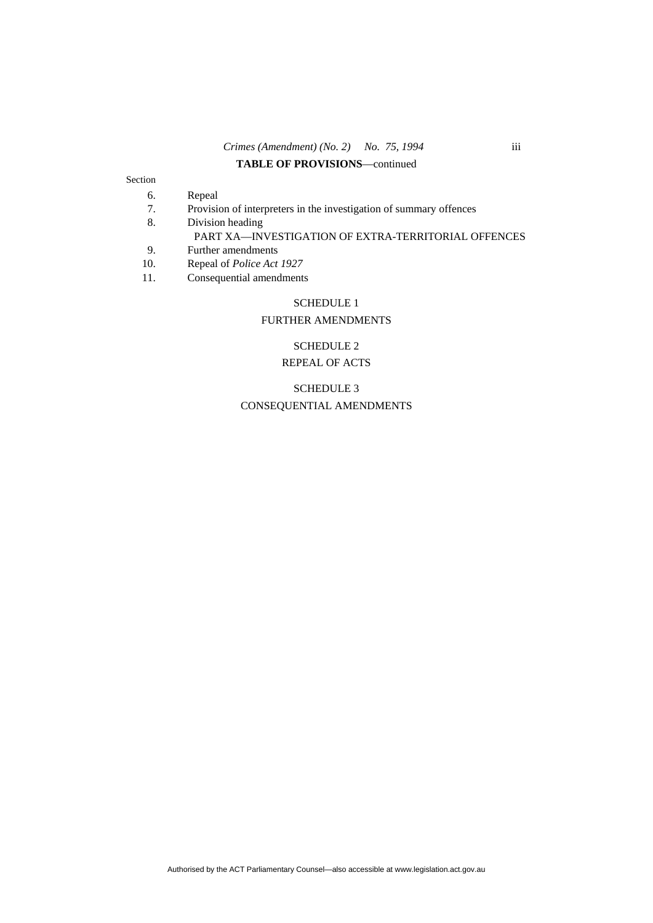## *Crimes (Amendment) (No. 2) No. 75, 1994* iii

#### **TABLE OF PROVISIONS**—continued

#### Section

- 6. Repeal
- 7. Provision of interpreters in the investigation of summary offences
- 8. Division heading

## PART XA—INVESTIGATION OF EXTRA-TERRITORIAL OFFENCES

- 9. Further amendments<br>10. Repeal of *Police Act*
- Repeal of *Police Act 1927*
- 11. Consequential amendments

#### SCHEDULE 1

#### FURTHER AMENDMENTS

## SCHEDULE 2

## REPEAL OF ACTS

SCHEDULE 3 CONSEQUENTIAL AMENDMENTS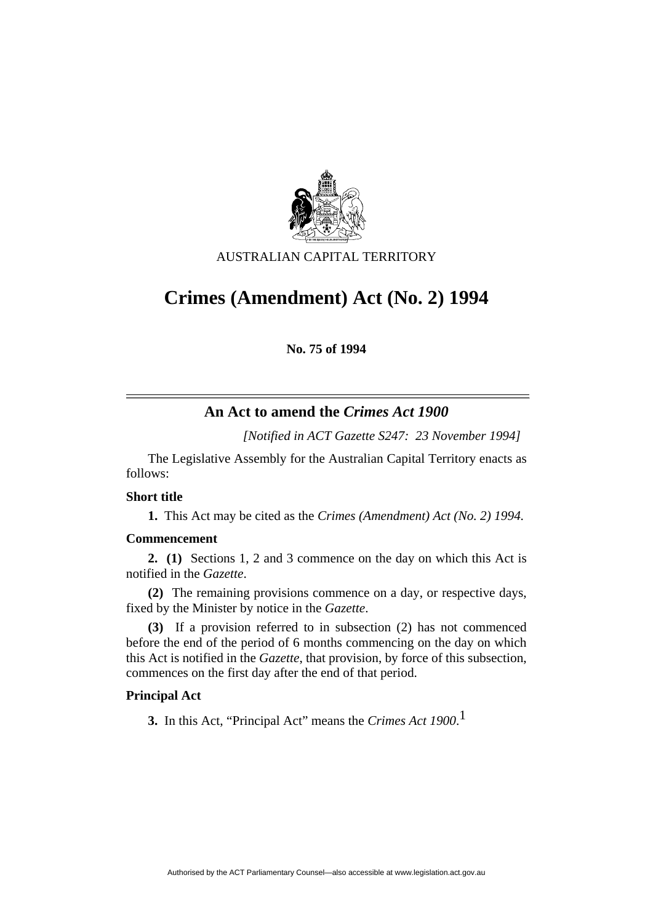

AUSTRALIAN CAPITAL TERRITORY

# **Crimes (Amendment) Act (No. 2) 1994**

**No. 75 of 1994** 

# **An Act to amend the** *Crimes Act 1900*

*[Notified in ACT Gazette S247: 23 November 1994]*

 The Legislative Assembly for the Australian Capital Territory enacts as follows:

## **Short title**

**1.** This Act may be cited as the *Crimes (Amendment) Act (No. 2) 1994.*

## **Commencement**

**2. (1)** Sections 1, 2 and 3 commence on the day on which this Act is notified in the *Gazette*.

**(2)** The remaining provisions commence on a day, or respective days, fixed by the Minister by notice in the *Gazette*.

**(3)** If a provision referred to in subsection (2) has not commenced before the end of the period of 6 months commencing on the day on which this Act is notified in the *Gazette*, that provision, by force of this subsection, commences on the first day after the end of that period.

# **Principal Act**

**3.** In this Act, "Principal Act" means the *Crimes Act 1900*. 1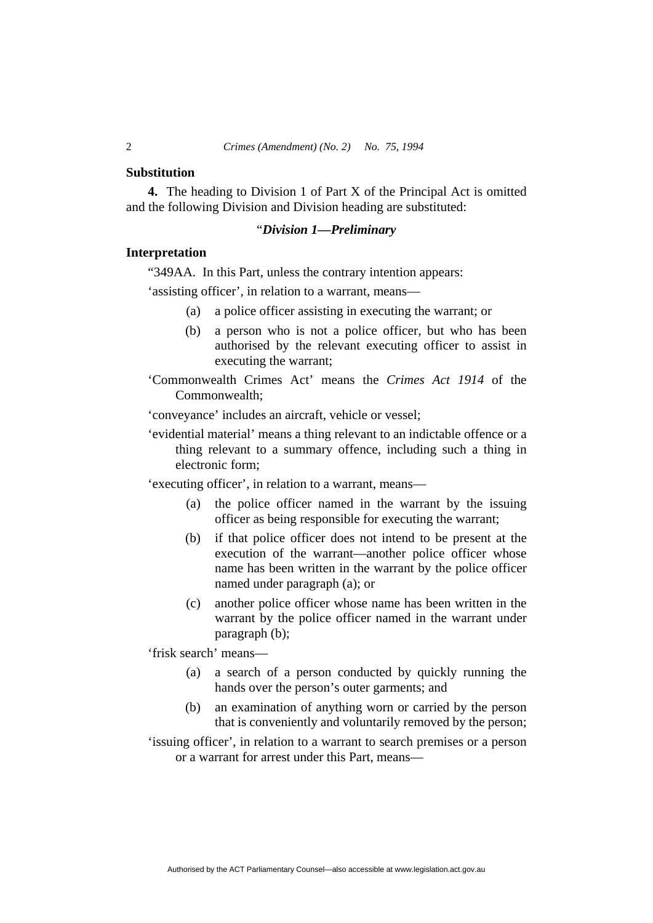#### **Substitution**

**4.** The heading to Division 1 of Part X of the Principal Act is omitted and the following Division and Division heading are substituted:

## "*Division 1—Preliminary*

## **Interpretation**

"349AA. In this Part, unless the contrary intention appears:

'assisting officer', in relation to a warrant, means—

- (a) a police officer assisting in executing the warrant; or
- (b) a person who is not a police officer, but who has been authorised by the relevant executing officer to assist in executing the warrant;

'Commonwealth Crimes Act' means the *Crimes Act 1914* of the Commonwealth;

'conveyance' includes an aircraft, vehicle or vessel;

'evidential material' means a thing relevant to an indictable offence or a thing relevant to a summary offence, including such a thing in electronic form;

'executing officer', in relation to a warrant, means—

- (a) the police officer named in the warrant by the issuing officer as being responsible for executing the warrant;
- (b) if that police officer does not intend to be present at the execution of the warrant—another police officer whose name has been written in the warrant by the police officer named under paragraph (a); or
- (c) another police officer whose name has been written in the warrant by the police officer named in the warrant under paragraph (b);

'frisk search' means—

- (a) a search of a person conducted by quickly running the hands over the person's outer garments; and
- (b) an examination of anything worn or carried by the person that is conveniently and voluntarily removed by the person;
- 'issuing officer', in relation to a warrant to search premises or a person or a warrant for arrest under this Part, means—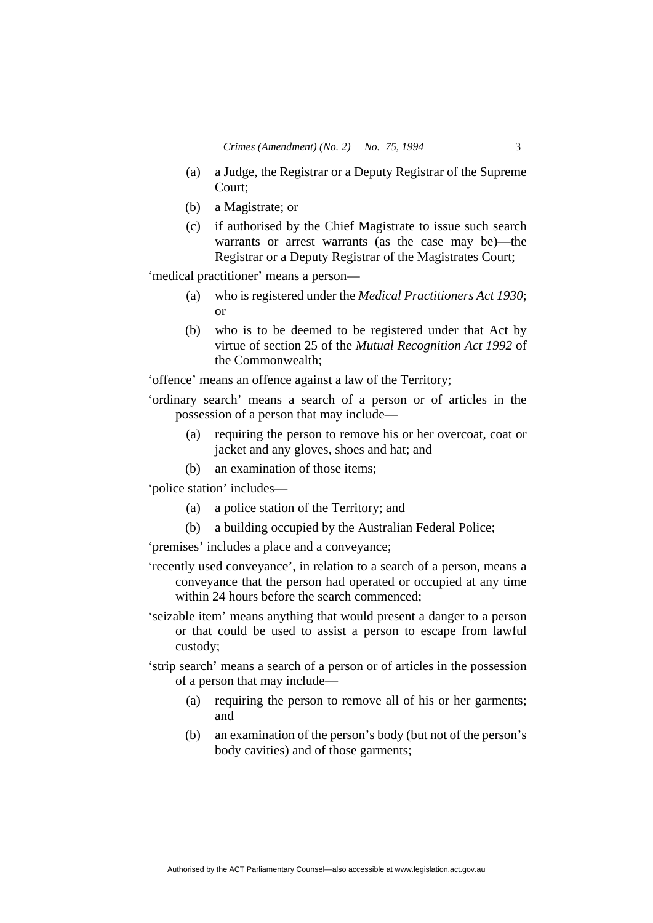- (a) a Judge, the Registrar or a Deputy Registrar of the Supreme Court;
- (b) a Magistrate; or
- (c) if authorised by the Chief Magistrate to issue such search warrants or arrest warrants (as the case may be)—the Registrar or a Deputy Registrar of the Magistrates Court;

'medical practitioner' means a person—

- (a) who is registered under the *Medical Practitioners Act 1930*; or
- (b) who is to be deemed to be registered under that Act by virtue of section 25 of the *Mutual Recognition Act 1992* of the Commonwealth;

'offence' means an offence against a law of the Territory;

'ordinary search' means a search of a person or of articles in the possession of a person that may include—

- (a) requiring the person to remove his or her overcoat, coat or jacket and any gloves, shoes and hat; and
- (b) an examination of those items;

'police station' includes—

- (a) a police station of the Territory; and
- (b) a building occupied by the Australian Federal Police;

'premises' includes a place and a conveyance;

- 'recently used conveyance', in relation to a search of a person, means a conveyance that the person had operated or occupied at any time within 24 hours before the search commenced;
- 'seizable item' means anything that would present a danger to a person or that could be used to assist a person to escape from lawful custody;

'strip search' means a search of a person or of articles in the possession of a person that may include—

- (a) requiring the person to remove all of his or her garments; and
- (b) an examination of the person's body (but not of the person's body cavities) and of those garments;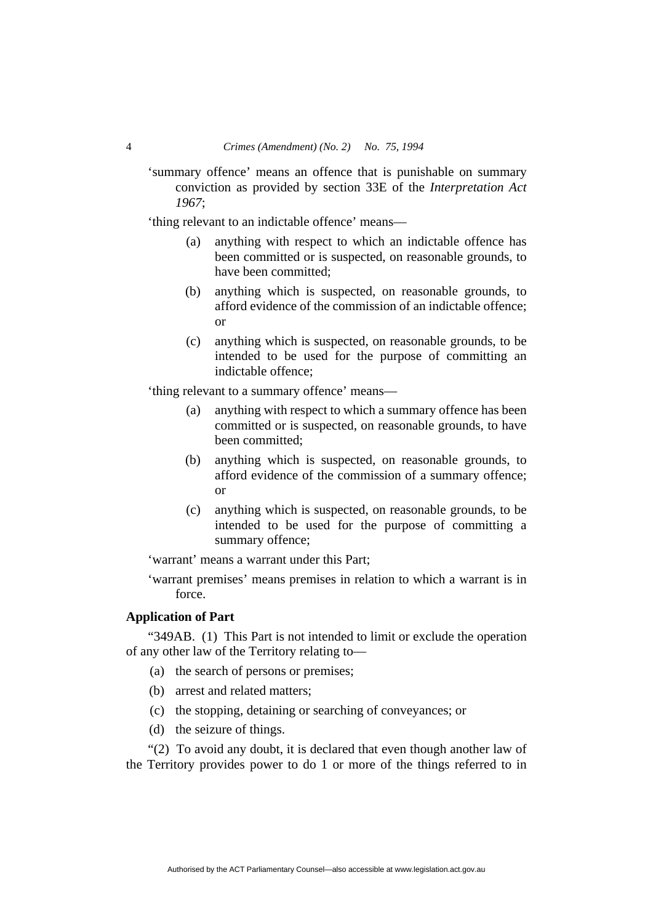'summary offence' means an offence that is punishable on summary conviction as provided by section 33E of the *Interpretation Act 1967*;

'thing relevant to an indictable offence' means—

- (a) anything with respect to which an indictable offence has been committed or is suspected, on reasonable grounds, to have been committed;
- (b) anything which is suspected, on reasonable grounds, to afford evidence of the commission of an indictable offence; or
- (c) anything which is suspected, on reasonable grounds, to be intended to be used for the purpose of committing an indictable offence;

'thing relevant to a summary offence' means—

- (a) anything with respect to which a summary offence has been committed or is suspected, on reasonable grounds, to have been committed;
- (b) anything which is suspected, on reasonable grounds, to afford evidence of the commission of a summary offence; or
- (c) anything which is suspected, on reasonable grounds, to be intended to be used for the purpose of committing a summary offence;

'warrant' means a warrant under this Part;

'warrant premises' means premises in relation to which a warrant is in force.

## **Application of Part**

"349AB. (1) This Part is not intended to limit or exclude the operation of any other law of the Territory relating to—

- (a) the search of persons or premises;
- (b) arrest and related matters;
- (c) the stopping, detaining or searching of conveyances; or
- (d) the seizure of things.

"(2) To avoid any doubt, it is declared that even though another law of the Territory provides power to do 1 or more of the things referred to in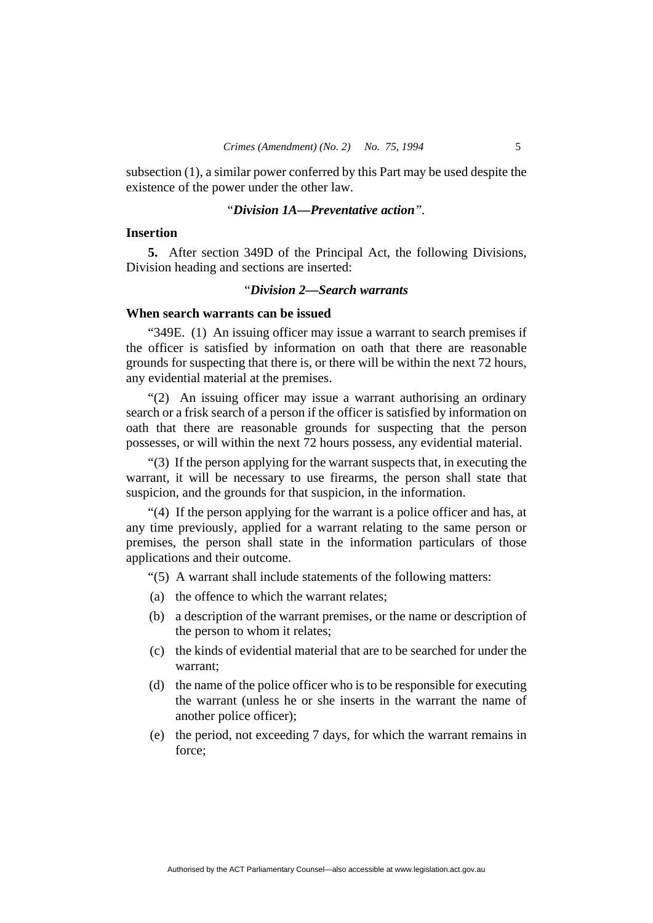subsection (1), a similar power conferred by this Part may be used despite the existence of the power under the other law.

## "*Division 1A—Preventative action".*

## **Insertion**

**5.** After section 349D of the Principal Act, the following Divisions, Division heading and sections are inserted:

## "*Division 2—Search warrants*

## **When search warrants can be issued**

"349E. (1) An issuing officer may issue a warrant to search premises if the officer is satisfied by information on oath that there are reasonable grounds for suspecting that there is, or there will be within the next 72 hours, any evidential material at the premises.

"(2) An issuing officer may issue a warrant authorising an ordinary search or a frisk search of a person if the officer is satisfied by information on oath that there are reasonable grounds for suspecting that the person possesses, or will within the next 72 hours possess, any evidential material.

"(3) If the person applying for the warrant suspects that, in executing the warrant, it will be necessary to use firearms, the person shall state that suspicion, and the grounds for that suspicion, in the information.

"(4) If the person applying for the warrant is a police officer and has, at any time previously, applied for a warrant relating to the same person or premises, the person shall state in the information particulars of those applications and their outcome.

"(5) A warrant shall include statements of the following matters:

- (a) the offence to which the warrant relates;
- (b) a description of the warrant premises, or the name or description of the person to whom it relates;
- (c) the kinds of evidential material that are to be searched for under the warrant;
- (d) the name of the police officer who is to be responsible for executing the warrant (unless he or she inserts in the warrant the name of another police officer);
- (e) the period, not exceeding 7 days, for which the warrant remains in force;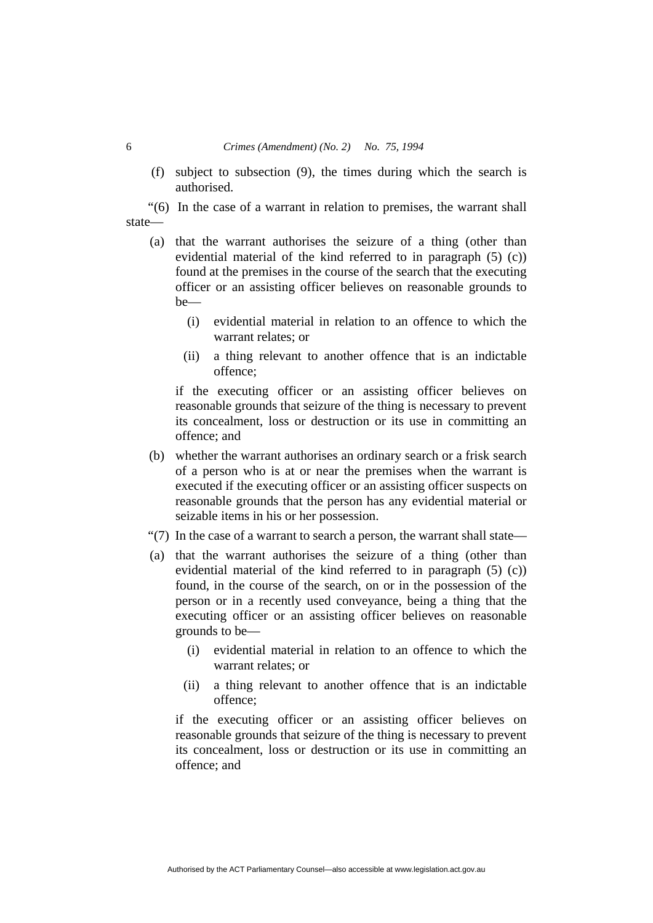#### 6 *Crimes (Amendment) (No. 2) No. 75, 1994*

 (f) subject to subsection (9), the times during which the search is authorised.

"(6) In the case of a warrant in relation to premises, the warrant shall state—

- (a) that the warrant authorises the seizure of a thing (other than evidential material of the kind referred to in paragraph (5) (c)) found at the premises in the course of the search that the executing officer or an assisting officer believes on reasonable grounds to be—
	- (i) evidential material in relation to an offence to which the warrant relates; or
	- (ii) a thing relevant to another offence that is an indictable offence;

if the executing officer or an assisting officer believes on reasonable grounds that seizure of the thing is necessary to prevent its concealment, loss or destruction or its use in committing an offence; and

- (b) whether the warrant authorises an ordinary search or a frisk search of a person who is at or near the premises when the warrant is executed if the executing officer or an assisting officer suspects on reasonable grounds that the person has any evidential material or seizable items in his or her possession.
- "(7) In the case of a warrant to search a person, the warrant shall state—
- (a) that the warrant authorises the seizure of a thing (other than evidential material of the kind referred to in paragraph (5) (c)) found, in the course of the search, on or in the possession of the person or in a recently used conveyance, being a thing that the executing officer or an assisting officer believes on reasonable grounds to be—
	- (i) evidential material in relation to an offence to which the warrant relates; or
	- (ii) a thing relevant to another offence that is an indictable offence;

if the executing officer or an assisting officer believes on reasonable grounds that seizure of the thing is necessary to prevent its concealment, loss or destruction or its use in committing an offence; and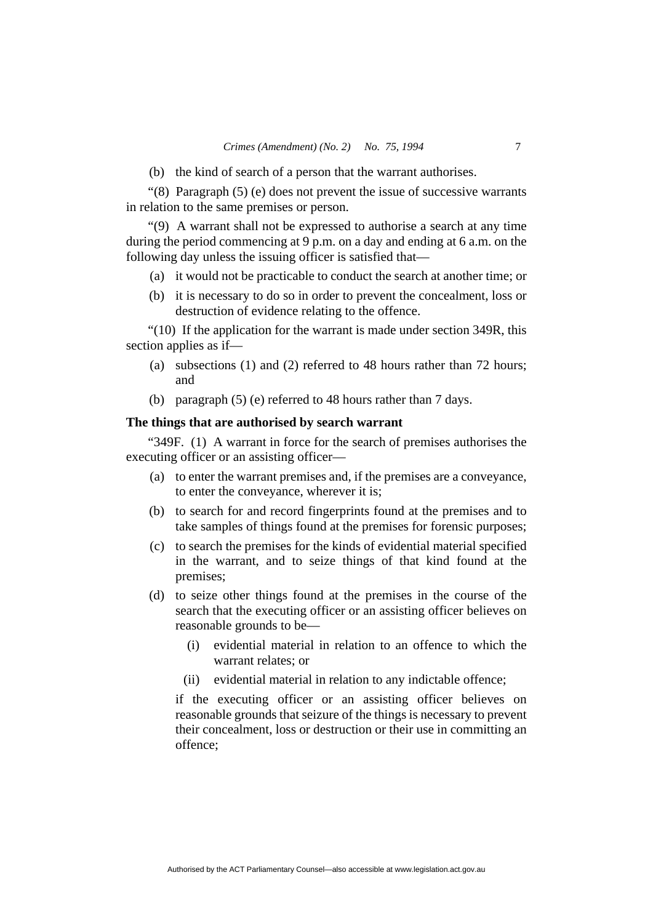(b) the kind of search of a person that the warrant authorises.

"(8) Paragraph (5) (e) does not prevent the issue of successive warrants in relation to the same premises or person.

"(9) A warrant shall not be expressed to authorise a search at any time during the period commencing at 9 p.m. on a day and ending at 6 a.m. on the following day unless the issuing officer is satisfied that—

- (a) it would not be practicable to conduct the search at another time; or
- (b) it is necessary to do so in order to prevent the concealment, loss or destruction of evidence relating to the offence.

"(10) If the application for the warrant is made under section 349R, this section applies as if—

- (a) subsections (1) and (2) referred to 48 hours rather than 72 hours; and
- (b) paragraph (5) (e) referred to 48 hours rather than 7 days.

## **The things that are authorised by search warrant**

"349F. (1) A warrant in force for the search of premises authorises the executing officer or an assisting officer—

- (a) to enter the warrant premises and, if the premises are a conveyance, to enter the conveyance, wherever it is;
- (b) to search for and record fingerprints found at the premises and to take samples of things found at the premises for forensic purposes;
- (c) to search the premises for the kinds of evidential material specified in the warrant, and to seize things of that kind found at the premises;
- (d) to seize other things found at the premises in the course of the search that the executing officer or an assisting officer believes on reasonable grounds to be—
	- (i) evidential material in relation to an offence to which the warrant relates; or
	- (ii) evidential material in relation to any indictable offence;

if the executing officer or an assisting officer believes on reasonable grounds that seizure of the things is necessary to prevent their concealment, loss or destruction or their use in committing an offence;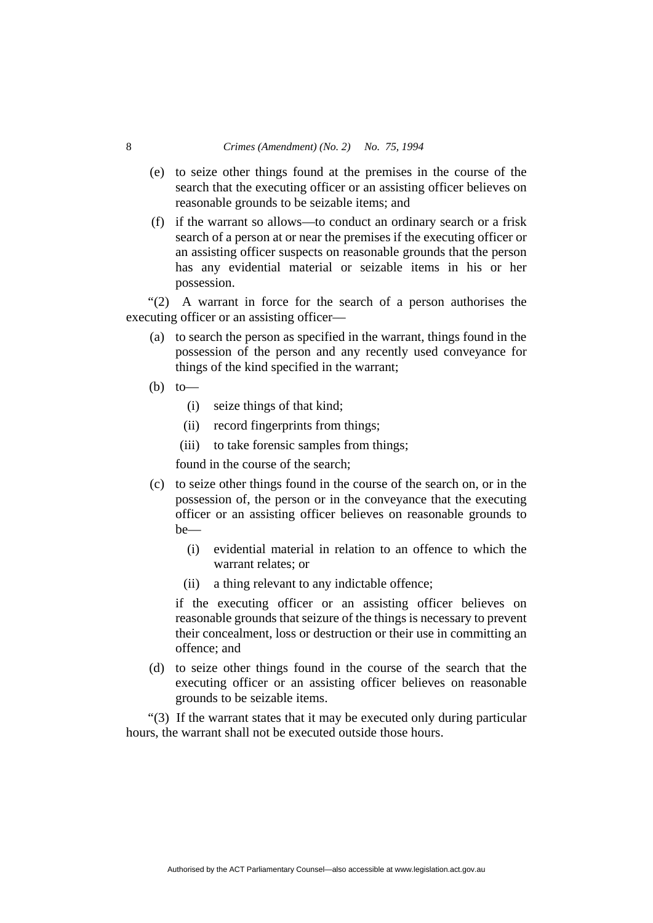## 8 *Crimes (Amendment) (No. 2) No. 75, 1994*

- (e) to seize other things found at the premises in the course of the search that the executing officer or an assisting officer believes on reasonable grounds to be seizable items; and
- (f) if the warrant so allows—to conduct an ordinary search or a frisk search of a person at or near the premises if the executing officer or an assisting officer suspects on reasonable grounds that the person has any evidential material or seizable items in his or her possession.

"(2) A warrant in force for the search of a person authorises the executing officer or an assisting officer—

- (a) to search the person as specified in the warrant, things found in the possession of the person and any recently used conveyance for things of the kind specified in the warrant;
- $(b)$  to
	- (i) seize things of that kind;
	- (ii) record fingerprints from things;
	- (iii) to take forensic samples from things;

found in the course of the search;

- (c) to seize other things found in the course of the search on, or in the possession of, the person or in the conveyance that the executing officer or an assisting officer believes on reasonable grounds to be—
	- (i) evidential material in relation to an offence to which the warrant relates; or
	- (ii) a thing relevant to any indictable offence;

if the executing officer or an assisting officer believes on reasonable grounds that seizure of the things is necessary to prevent their concealment, loss or destruction or their use in committing an offence; and

 (d) to seize other things found in the course of the search that the executing officer or an assisting officer believes on reasonable grounds to be seizable items.

"(3) If the warrant states that it may be executed only during particular hours, the warrant shall not be executed outside those hours.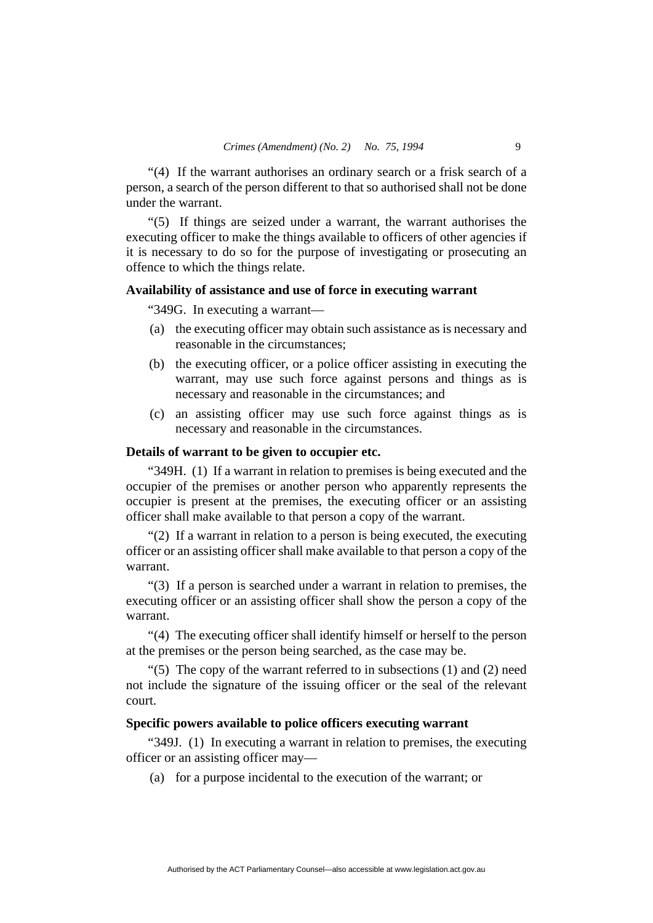"(4) If the warrant authorises an ordinary search or a frisk search of a person, a search of the person different to that so authorised shall not be done under the warrant.

"(5) If things are seized under a warrant, the warrant authorises the executing officer to make the things available to officers of other agencies if it is necessary to do so for the purpose of investigating or prosecuting an offence to which the things relate.

## **Availability of assistance and use of force in executing warrant**

"349G. In executing a warrant—

- (a) the executing officer may obtain such assistance as is necessary and reasonable in the circumstances;
- (b) the executing officer, or a police officer assisting in executing the warrant, may use such force against persons and things as is necessary and reasonable in the circumstances; and
- (c) an assisting officer may use such force against things as is necessary and reasonable in the circumstances.

## **Details of warrant to be given to occupier etc.**

"349H. (1) If a warrant in relation to premises is being executed and the occupier of the premises or another person who apparently represents the occupier is present at the premises, the executing officer or an assisting officer shall make available to that person a copy of the warrant.

"(2) If a warrant in relation to a person is being executed, the executing officer or an assisting officer shall make available to that person a copy of the warrant.

"(3) If a person is searched under a warrant in relation to premises, the executing officer or an assisting officer shall show the person a copy of the warrant.

"(4) The executing officer shall identify himself or herself to the person at the premises or the person being searched, as the case may be.

" $(5)$  The copy of the warrant referred to in subsections  $(1)$  and  $(2)$  need not include the signature of the issuing officer or the seal of the relevant court.

#### **Specific powers available to police officers executing warrant**

"349J. (1) In executing a warrant in relation to premises, the executing officer or an assisting officer may—

(a) for a purpose incidental to the execution of the warrant; or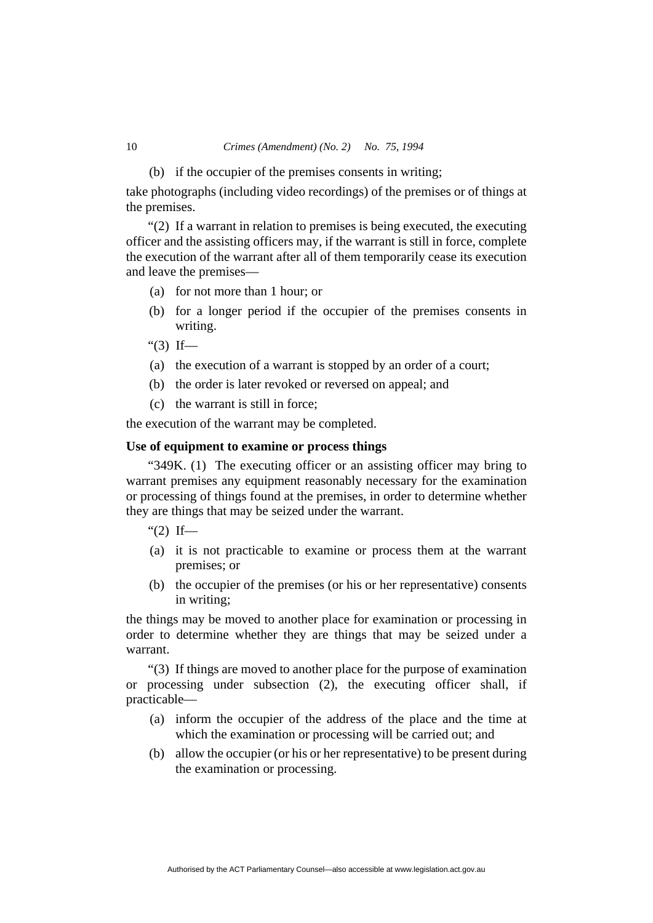(b) if the occupier of the premises consents in writing;

take photographs (including video recordings) of the premises or of things at the premises.

"(2) If a warrant in relation to premises is being executed, the executing officer and the assisting officers may, if the warrant is still in force, complete the execution of the warrant after all of them temporarily cease its execution and leave the premises—

- (a) for not more than 1 hour; or
- (b) for a longer period if the occupier of the premises consents in writing.
- "(3) If—
- (a) the execution of a warrant is stopped by an order of a court;
- (b) the order is later revoked or reversed on appeal; and
- (c) the warrant is still in force;

the execution of the warrant may be completed.

#### **Use of equipment to examine or process things**

"349K. (1) The executing officer or an assisting officer may bring to warrant premises any equipment reasonably necessary for the examination or processing of things found at the premises, in order to determine whether they are things that may be seized under the warrant.

" $(2)$  If—

- (a) it is not practicable to examine or process them at the warrant premises; or
- (b) the occupier of the premises (or his or her representative) consents in writing;

the things may be moved to another place for examination or processing in order to determine whether they are things that may be seized under a warrant.

"(3) If things are moved to another place for the purpose of examination or processing under subsection (2), the executing officer shall, if practicable—

- (a) inform the occupier of the address of the place and the time at which the examination or processing will be carried out; and
- (b) allow the occupier (or his or her representative) to be present during the examination or processing.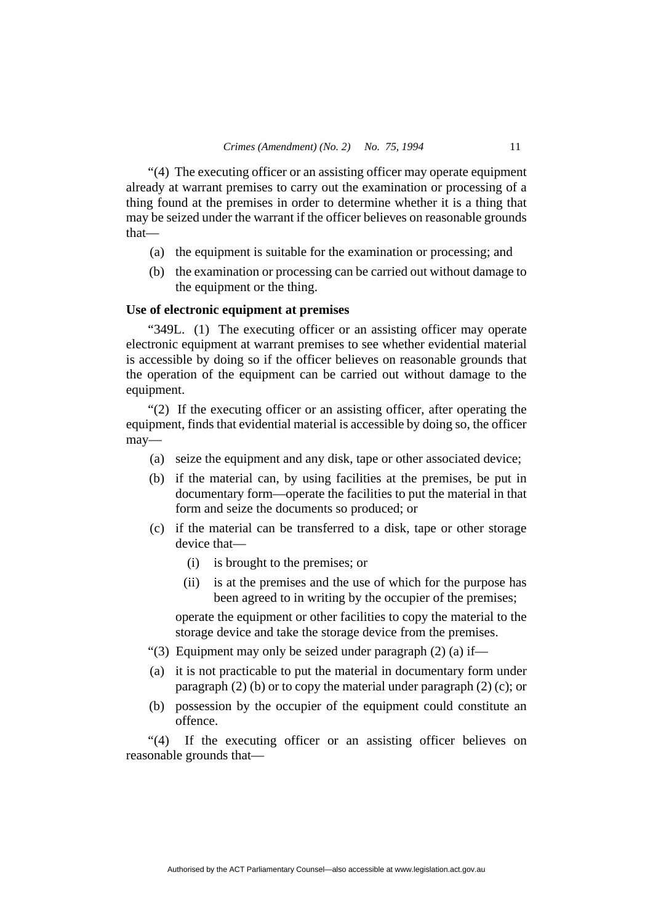"(4) The executing officer or an assisting officer may operate equipment already at warrant premises to carry out the examination or processing of a thing found at the premises in order to determine whether it is a thing that may be seized under the warrant if the officer believes on reasonable grounds that—

- (a) the equipment is suitable for the examination or processing; and
- (b) the examination or processing can be carried out without damage to the equipment or the thing.

### **Use of electronic equipment at premises**

"349L. (1) The executing officer or an assisting officer may operate electronic equipment at warrant premises to see whether evidential material is accessible by doing so if the officer believes on reasonable grounds that the operation of the equipment can be carried out without damage to the equipment.

"(2) If the executing officer or an assisting officer, after operating the equipment, finds that evidential material is accessible by doing so, the officer may—

- (a) seize the equipment and any disk, tape or other associated device;
- (b) if the material can, by using facilities at the premises, be put in documentary form—operate the facilities to put the material in that form and seize the documents so produced; or
- (c) if the material can be transferred to a disk, tape or other storage device that—
	- (i) is brought to the premises; or
	- (ii) is at the premises and the use of which for the purpose has been agreed to in writing by the occupier of the premises;

operate the equipment or other facilities to copy the material to the storage device and take the storage device from the premises.

- "(3) Equipment may only be seized under paragraph (2) (a) if—
- (a) it is not practicable to put the material in documentary form under paragraph (2) (b) or to copy the material under paragraph (2) (c); or
- (b) possession by the occupier of the equipment could constitute an offence.

"(4) If the executing officer or an assisting officer believes on reasonable grounds that—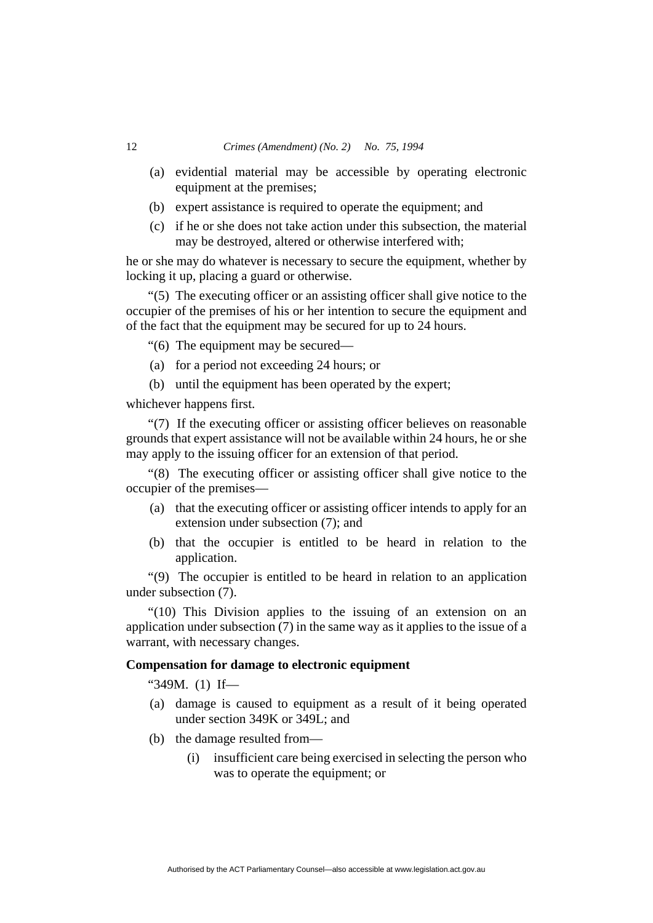- (a) evidential material may be accessible by operating electronic equipment at the premises;
- (b) expert assistance is required to operate the equipment; and
- (c) if he or she does not take action under this subsection, the material may be destroyed, altered or otherwise interfered with;

he or she may do whatever is necessary to secure the equipment, whether by locking it up, placing a guard or otherwise.

"(5) The executing officer or an assisting officer shall give notice to the occupier of the premises of his or her intention to secure the equipment and of the fact that the equipment may be secured for up to 24 hours.

"(6) The equipment may be secured—

- (a) for a period not exceeding 24 hours; or
- (b) until the equipment has been operated by the expert;

whichever happens first.

"(7) If the executing officer or assisting officer believes on reasonable grounds that expert assistance will not be available within 24 hours, he or she may apply to the issuing officer for an extension of that period.

"(8) The executing officer or assisting officer shall give notice to the occupier of the premises—

- (a) that the executing officer or assisting officer intends to apply for an extension under subsection (7); and
- (b) that the occupier is entitled to be heard in relation to the application.

"(9) The occupier is entitled to be heard in relation to an application under subsection (7).

"(10) This Division applies to the issuing of an extension on an application under subsection (7) in the same way as it applies to the issue of a warrant, with necessary changes.

## **Compensation for damage to electronic equipment**

"349M. (1) If—

- (a) damage is caused to equipment as a result of it being operated under section 349K or 349L; and
- (b) the damage resulted from—
	- (i) insufficient care being exercised in selecting the person who was to operate the equipment; or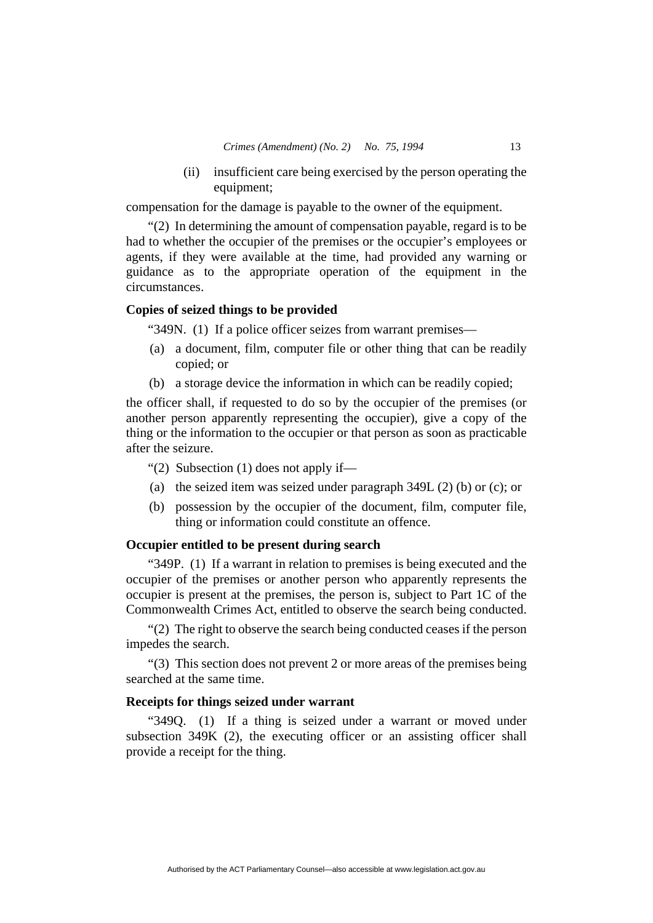(ii) insufficient care being exercised by the person operating the equipment;

compensation for the damage is payable to the owner of the equipment.

"(2) In determining the amount of compensation payable, regard is to be had to whether the occupier of the premises or the occupier's employees or agents, if they were available at the time, had provided any warning or guidance as to the appropriate operation of the equipment in the circumstances.

## **Copies of seized things to be provided**

"349N. (1) If a police officer seizes from warrant premises—

- (a) a document, film, computer file or other thing that can be readily copied; or
- (b) a storage device the information in which can be readily copied;

the officer shall, if requested to do so by the occupier of the premises (or another person apparently representing the occupier), give a copy of the thing or the information to the occupier or that person as soon as practicable after the seizure.

"(2) Subsection  $(1)$  does not apply if—

- (a) the seized item was seized under paragraph 349L (2) (b) or (c); or
- (b) possession by the occupier of the document, film, computer file, thing or information could constitute an offence.

## **Occupier entitled to be present during search**

"349P. (1) If a warrant in relation to premises is being executed and the occupier of the premises or another person who apparently represents the occupier is present at the premises, the person is, subject to Part 1C of the Commonwealth Crimes Act, entitled to observe the search being conducted.

"(2) The right to observe the search being conducted ceases if the person impedes the search.

"(3) This section does not prevent 2 or more areas of the premises being searched at the same time.

## **Receipts for things seized under warrant**

"349Q. (1) If a thing is seized under a warrant or moved under subsection 349K (2), the executing officer or an assisting officer shall provide a receipt for the thing.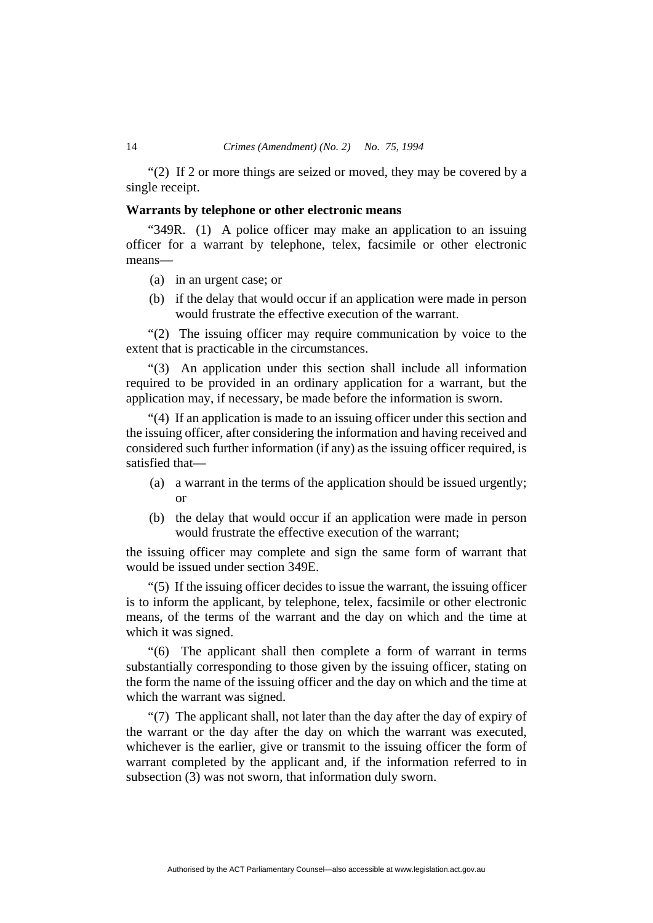#### 14 *Crimes (Amendment) (No. 2) No. 75, 1994*

"(2) If 2 or more things are seized or moved, they may be covered by a single receipt.

## **Warrants by telephone or other electronic means**

"349R. (1) A police officer may make an application to an issuing officer for a warrant by telephone, telex, facsimile or other electronic means—

- (a) in an urgent case; or
- (b) if the delay that would occur if an application were made in person would frustrate the effective execution of the warrant.

"(2) The issuing officer may require communication by voice to the extent that is practicable in the circumstances.

"(3) An application under this section shall include all information required to be provided in an ordinary application for a warrant, but the application may, if necessary, be made before the information is sworn.

"(4) If an application is made to an issuing officer under this section and the issuing officer, after considering the information and having received and considered such further information (if any) as the issuing officer required, is satisfied that—

- (a) a warrant in the terms of the application should be issued urgently; or
- (b) the delay that would occur if an application were made in person would frustrate the effective execution of the warrant;

the issuing officer may complete and sign the same form of warrant that would be issued under section 349E.

"(5) If the issuing officer decides to issue the warrant, the issuing officer is to inform the applicant, by telephone, telex, facsimile or other electronic means, of the terms of the warrant and the day on which and the time at which it was signed.

"(6) The applicant shall then complete a form of warrant in terms substantially corresponding to those given by the issuing officer, stating on the form the name of the issuing officer and the day on which and the time at which the warrant was signed.

"(7) The applicant shall, not later than the day after the day of expiry of the warrant or the day after the day on which the warrant was executed, whichever is the earlier, give or transmit to the issuing officer the form of warrant completed by the applicant and, if the information referred to in subsection (3) was not sworn, that information duly sworn.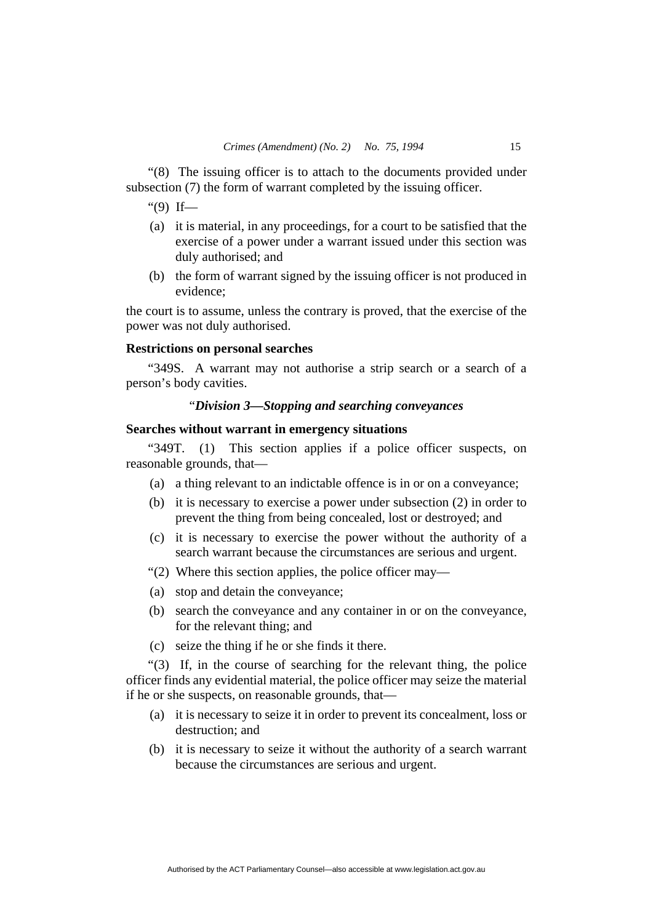"(8) The issuing officer is to attach to the documents provided under subsection (7) the form of warrant completed by the issuing officer.

" $(9)$  If—

- (a) it is material, in any proceedings, for a court to be satisfied that the exercise of a power under a warrant issued under this section was duly authorised; and
- (b) the form of warrant signed by the issuing officer is not produced in evidence;

the court is to assume, unless the contrary is proved, that the exercise of the power was not duly authorised.

## **Restrictions on personal searches**

"349S. A warrant may not authorise a strip search or a search of a person's body cavities.

## "*Division 3—Stopping and searching conveyances*

## **Searches without warrant in emergency situations**

"349T. (1) This section applies if a police officer suspects, on reasonable grounds, that—

- (a) a thing relevant to an indictable offence is in or on a conveyance;
- (b) it is necessary to exercise a power under subsection (2) in order to prevent the thing from being concealed, lost or destroyed; and
- (c) it is necessary to exercise the power without the authority of a search warrant because the circumstances are serious and urgent.
- "(2) Where this section applies, the police officer may—
- (a) stop and detain the conveyance;
- (b) search the conveyance and any container in or on the conveyance, for the relevant thing; and
- (c) seize the thing if he or she finds it there.

"(3) If, in the course of searching for the relevant thing, the police officer finds any evidential material, the police officer may seize the material if he or she suspects, on reasonable grounds, that—

- (a) it is necessary to seize it in order to prevent its concealment, loss or destruction; and
- (b) it is necessary to seize it without the authority of a search warrant because the circumstances are serious and urgent.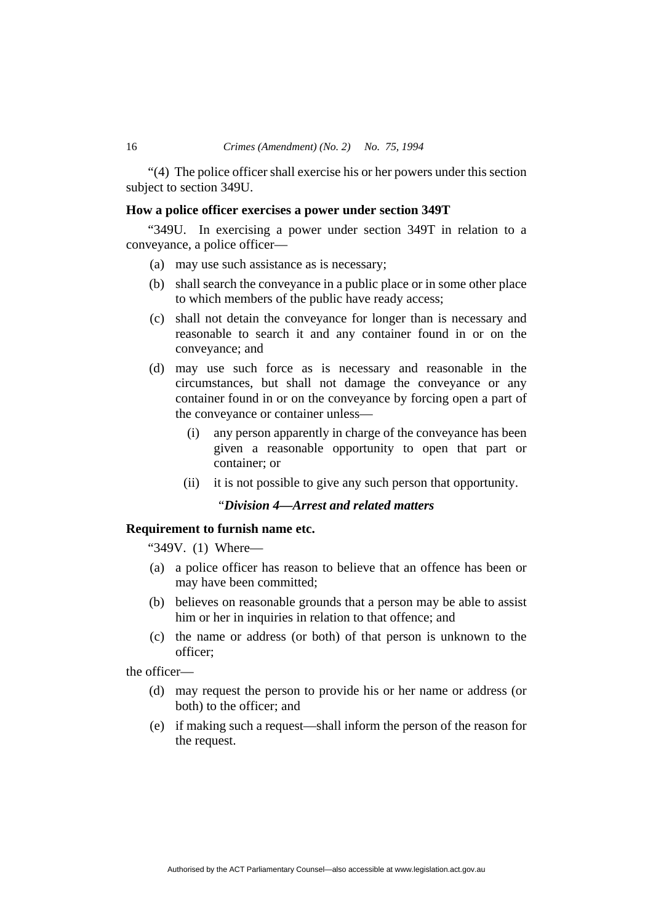"(4) The police officer shall exercise his or her powers under this section subject to section 349U.

## **How a police officer exercises a power under section 349T**

"349U. In exercising a power under section 349T in relation to a conveyance, a police officer—

- (a) may use such assistance as is necessary;
- (b) shall search the conveyance in a public place or in some other place to which members of the public have ready access;
- (c) shall not detain the conveyance for longer than is necessary and reasonable to search it and any container found in or on the conveyance; and
- (d) may use such force as is necessary and reasonable in the circumstances, but shall not damage the conveyance or any container found in or on the conveyance by forcing open a part of the conveyance or container unless—
	- (i) any person apparently in charge of the conveyance has been given a reasonable opportunity to open that part or container; or
	- (ii) it is not possible to give any such person that opportunity.

## "*Division 4—Arrest and related matters*

## **Requirement to furnish name etc.**

"349V. (1) Where—

- (a) a police officer has reason to believe that an offence has been or may have been committed;
- (b) believes on reasonable grounds that a person may be able to assist him or her in inquiries in relation to that offence; and
- (c) the name or address (or both) of that person is unknown to the officer;

the officer—

- (d) may request the person to provide his or her name or address (or both) to the officer; and
- (e) if making such a request—shall inform the person of the reason for the request.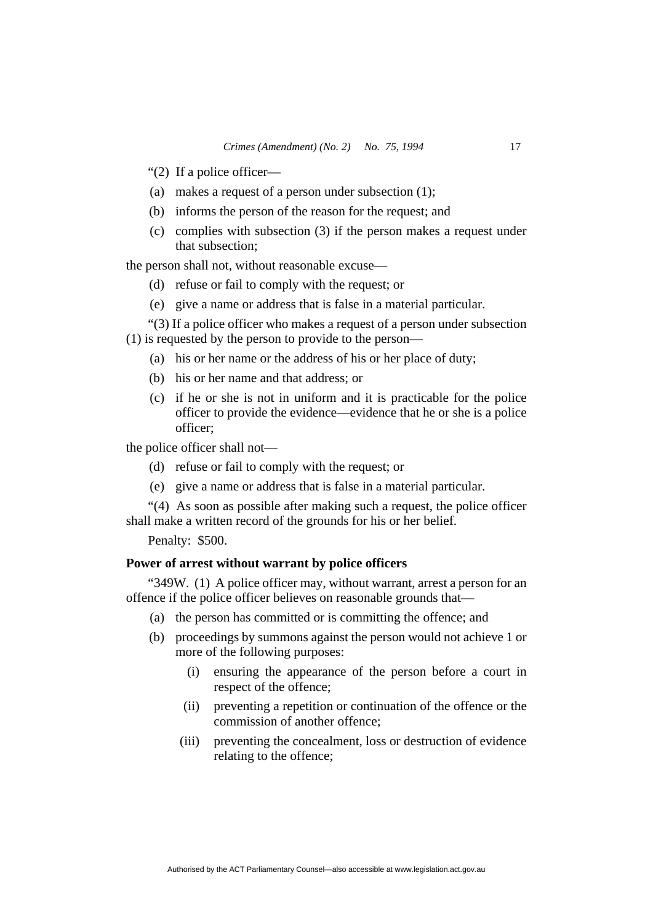"(2) If a police officer—

- (a) makes a request of a person under subsection (1);
- (b) informs the person of the reason for the request; and
- (c) complies with subsection (3) if the person makes a request under that subsection;

the person shall not, without reasonable excuse—

- (d) refuse or fail to comply with the request; or
- (e) give a name or address that is false in a material particular.
- "(3) If a police officer who makes a request of a person under subsection
- (1) is requested by the person to provide to the person—
	- (a) his or her name or the address of his or her place of duty;
	- (b) his or her name and that address; or
	- (c) if he or she is not in uniform and it is practicable for the police officer to provide the evidence—evidence that he or she is a police officer;

the police officer shall not—

- (d) refuse or fail to comply with the request; or
- (e) give a name or address that is false in a material particular.

"(4) As soon as possible after making such a request, the police officer shall make a written record of the grounds for his or her belief.

Penalty: \$500.

## **Power of arrest without warrant by police officers**

"349W. (1) A police officer may, without warrant, arrest a person for an offence if the police officer believes on reasonable grounds that—

- (a) the person has committed or is committing the offence; and
- (b) proceedings by summons against the person would not achieve 1 or more of the following purposes:
	- (i) ensuring the appearance of the person before a court in respect of the offence;
	- (ii) preventing a repetition or continuation of the offence or the commission of another offence;
	- (iii) preventing the concealment, loss or destruction of evidence relating to the offence;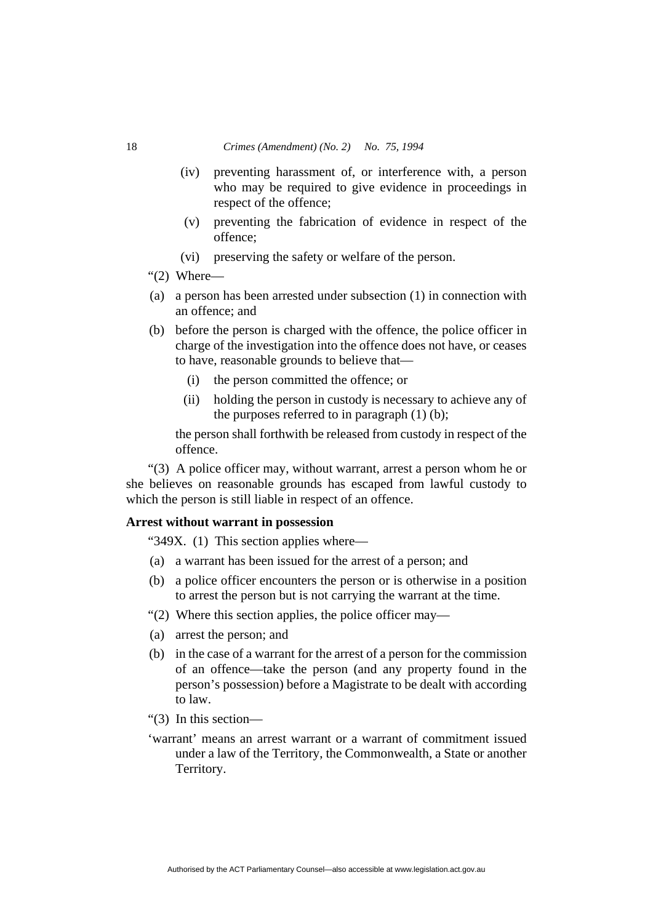- (iv) preventing harassment of, or interference with, a person who may be required to give evidence in proceedings in respect of the offence;
- (v) preventing the fabrication of evidence in respect of the offence;
- (vi) preserving the safety or welfare of the person.
- " $(2)$  Where—
- (a) a person has been arrested under subsection (1) in connection with an offence; and
- (b) before the person is charged with the offence, the police officer in charge of the investigation into the offence does not have, or ceases to have, reasonable grounds to believe that—
	- (i) the person committed the offence; or
	- (ii) holding the person in custody is necessary to achieve any of the purposes referred to in paragraph  $(1)$   $(b)$ ;

the person shall forthwith be released from custody in respect of the offence.

"(3) A police officer may, without warrant, arrest a person whom he or she believes on reasonable grounds has escaped from lawful custody to which the person is still liable in respect of an offence.

# **Arrest without warrant in possession**

"349X. (1) This section applies where—

- (a) a warrant has been issued for the arrest of a person; and
- (b) a police officer encounters the person or is otherwise in a position to arrest the person but is not carrying the warrant at the time.
- "(2) Where this section applies, the police officer may—
- (a) arrest the person; and
- (b) in the case of a warrant for the arrest of a person for the commission of an offence—take the person (and any property found in the person's possession) before a Magistrate to be dealt with according to law.
- "(3) In this section—
- 'warrant' means an arrest warrant or a warrant of commitment issued under a law of the Territory, the Commonwealth, a State or another Territory.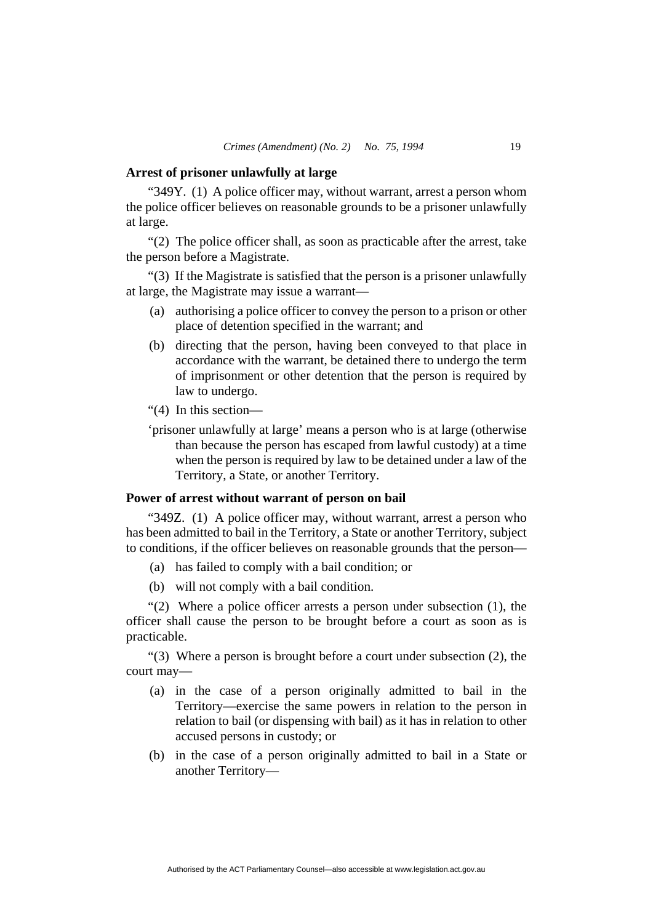#### **Arrest of prisoner unlawfully at large**

"349Y. (1) A police officer may, without warrant, arrest a person whom the police officer believes on reasonable grounds to be a prisoner unlawfully at large.

"(2) The police officer shall, as soon as practicable after the arrest, take the person before a Magistrate.

"(3) If the Magistrate is satisfied that the person is a prisoner unlawfully at large, the Magistrate may issue a warrant—

- (a) authorising a police officer to convey the person to a prison or other place of detention specified in the warrant; and
- (b) directing that the person, having been conveyed to that place in accordance with the warrant, be detained there to undergo the term of imprisonment or other detention that the person is required by law to undergo.
- "(4) In this section—
- 'prisoner unlawfully at large' means a person who is at large (otherwise than because the person has escaped from lawful custody) at a time when the person is required by law to be detained under a law of the Territory, a State, or another Territory.

## **Power of arrest without warrant of person on bail**

"349Z. (1) A police officer may, without warrant, arrest a person who has been admitted to bail in the Territory, a State or another Territory, subject to conditions, if the officer believes on reasonable grounds that the person—

- (a) has failed to comply with a bail condition; or
- (b) will not comply with a bail condition.

"(2) Where a police officer arrests a person under subsection  $(1)$ , the officer shall cause the person to be brought before a court as soon as is practicable.

"(3) Where a person is brought before a court under subsection (2), the court may—

- (a) in the case of a person originally admitted to bail in the Territory—exercise the same powers in relation to the person in relation to bail (or dispensing with bail) as it has in relation to other accused persons in custody; or
- (b) in the case of a person originally admitted to bail in a State or another Territory—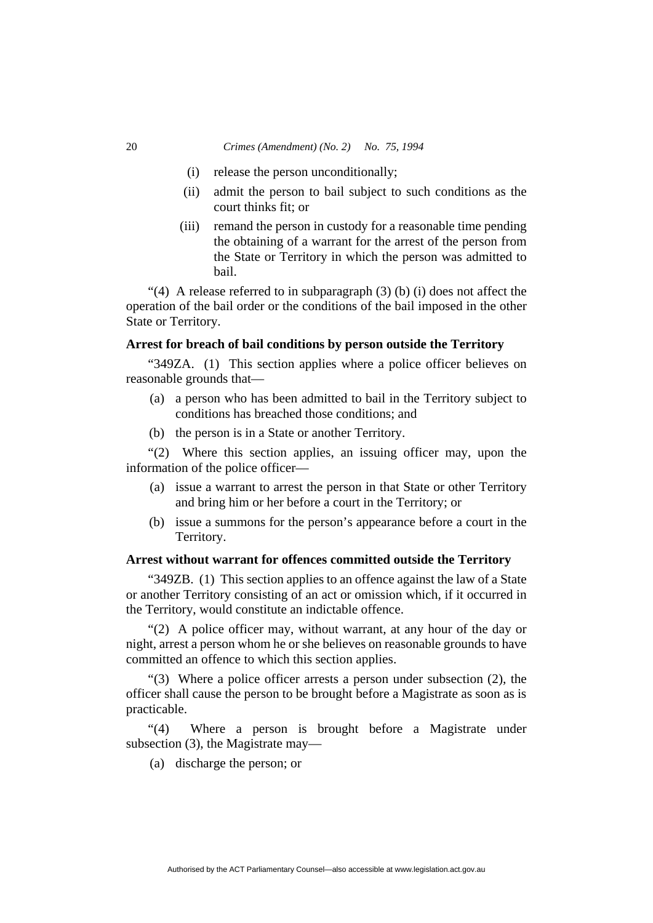#### 20 *Crimes (Amendment) (No. 2) No. 75, 1994*

- (i) release the person unconditionally;
- (ii) admit the person to bail subject to such conditions as the court thinks fit; or
- (iii) remand the person in custody for a reasonable time pending the obtaining of a warrant for the arrest of the person from the State or Territory in which the person was admitted to bail.

"(4) A release referred to in subparagraph (3) (b) (i) does not affect the operation of the bail order or the conditions of the bail imposed in the other State or Territory.

## **Arrest for breach of bail conditions by person outside the Territory**

"349ZA. (1) This section applies where a police officer believes on reasonable grounds that—

- (a) a person who has been admitted to bail in the Territory subject to conditions has breached those conditions; and
- (b) the person is in a State or another Territory.

"(2) Where this section applies, an issuing officer may, upon the information of the police officer—

- (a) issue a warrant to arrest the person in that State or other Territory and bring him or her before a court in the Territory; or
- (b) issue a summons for the person's appearance before a court in the Territory.

## **Arrest without warrant for offences committed outside the Territory**

"349ZB. (1) This section applies to an offence against the law of a State or another Territory consisting of an act or omission which, if it occurred in the Territory, would constitute an indictable offence.

"(2) A police officer may, without warrant, at any hour of the day or night, arrest a person whom he or she believes on reasonable grounds to have committed an offence to which this section applies.

"(3) Where a police officer arrests a person under subsection (2), the officer shall cause the person to be brought before a Magistrate as soon as is practicable.

"(4) Where a person is brought before a Magistrate under subsection (3), the Magistrate may—

(a) discharge the person; or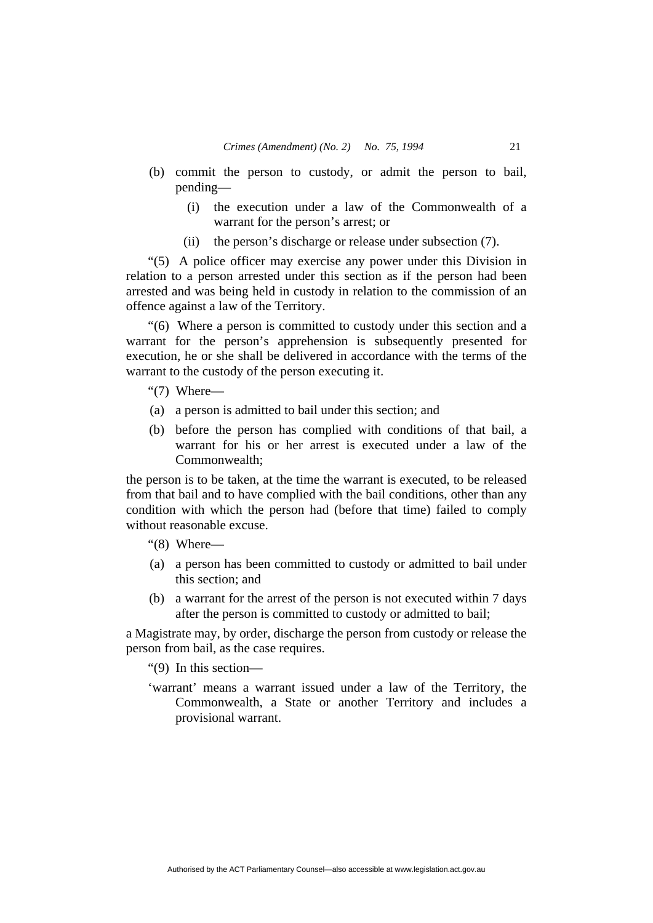- (b) commit the person to custody, or admit the person to bail, pending—
	- (i) the execution under a law of the Commonwealth of a warrant for the person's arrest; or
	- (ii) the person's discharge or release under subsection (7).

"(5) A police officer may exercise any power under this Division in relation to a person arrested under this section as if the person had been arrested and was being held in custody in relation to the commission of an offence against a law of the Territory.

"(6) Where a person is committed to custody under this section and a warrant for the person's apprehension is subsequently presented for execution, he or she shall be delivered in accordance with the terms of the warrant to the custody of the person executing it.

"(7) Where—

- (a) a person is admitted to bail under this section; and
- (b) before the person has complied with conditions of that bail, a warrant for his or her arrest is executed under a law of the Commonwealth;

the person is to be taken, at the time the warrant is executed, to be released from that bail and to have complied with the bail conditions, other than any condition with which the person had (before that time) failed to comply without reasonable excuse.

"(8) Where—

- (a) a person has been committed to custody or admitted to bail under this section; and
- (b) a warrant for the arrest of the person is not executed within 7 days after the person is committed to custody or admitted to bail;

a Magistrate may, by order, discharge the person from custody or release the person from bail, as the case requires.

"(9) In this section—

'warrant' means a warrant issued under a law of the Territory, the Commonwealth, a State or another Territory and includes a provisional warrant.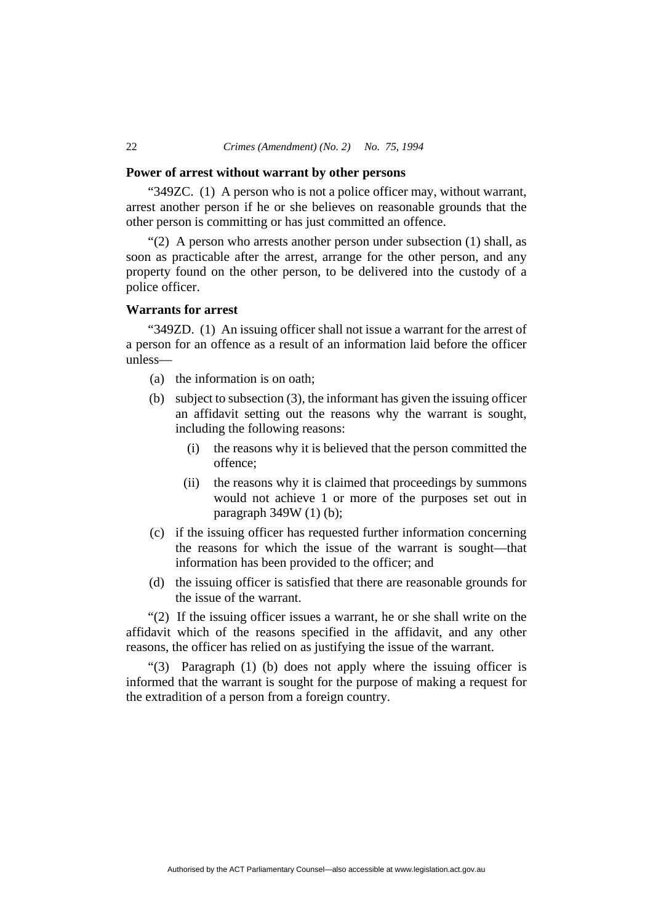#### 22 *Crimes (Amendment) (No. 2) No. 75, 1994*

#### **Power of arrest without warrant by other persons**

"349ZC. (1) A person who is not a police officer may, without warrant, arrest another person if he or she believes on reasonable grounds that the other person is committing or has just committed an offence.

"(2) A person who arrests another person under subsection (1) shall, as soon as practicable after the arrest, arrange for the other person, and any property found on the other person, to be delivered into the custody of a police officer.

## **Warrants for arrest**

"349ZD. (1) An issuing officer shall not issue a warrant for the arrest of a person for an offence as a result of an information laid before the officer unless—

- (a) the information is on oath;
- (b) subject to subsection (3), the informant has given the issuing officer an affidavit setting out the reasons why the warrant is sought, including the following reasons:
	- (i) the reasons why it is believed that the person committed the offence;
	- (ii) the reasons why it is claimed that proceedings by summons would not achieve 1 or more of the purposes set out in paragraph 349W (1) (b);
- (c) if the issuing officer has requested further information concerning the reasons for which the issue of the warrant is sought—that information has been provided to the officer; and
- (d) the issuing officer is satisfied that there are reasonable grounds for the issue of the warrant.

"(2) If the issuing officer issues a warrant, he or she shall write on the affidavit which of the reasons specified in the affidavit, and any other reasons, the officer has relied on as justifying the issue of the warrant.

"(3) Paragraph (1) (b) does not apply where the issuing officer is informed that the warrant is sought for the purpose of making a request for the extradition of a person from a foreign country.

Authorised by the ACT Parliamentary Counsel—also accessible at www.legislation.act.gov.au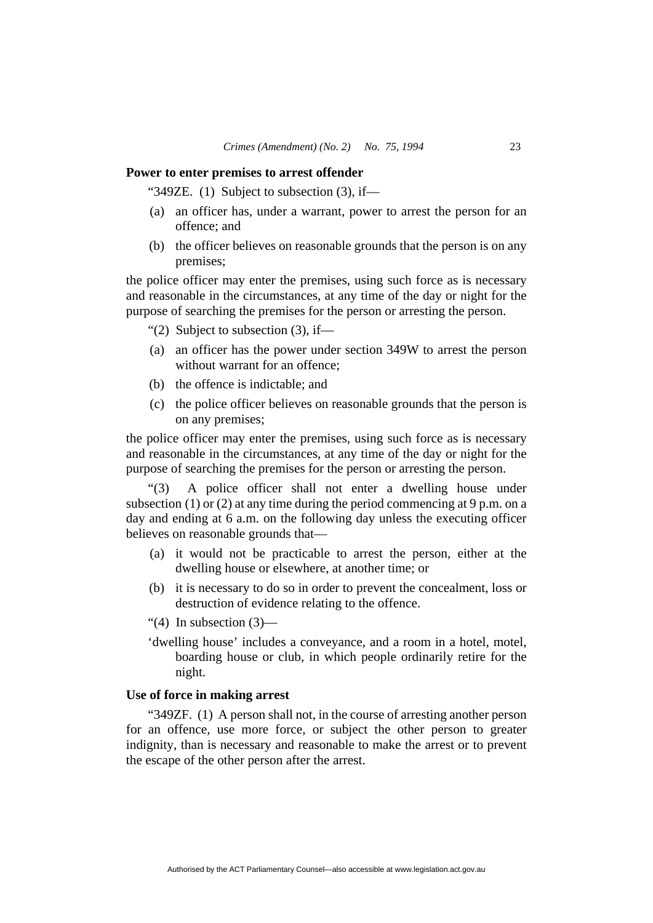#### **Power to enter premises to arrest offender**

"349ZE.  $(1)$  Subject to subsection  $(3)$ , if—

- (a) an officer has, under a warrant, power to arrest the person for an offence; and
- (b) the officer believes on reasonable grounds that the person is on any premises;

the police officer may enter the premises, using such force as is necessary and reasonable in the circumstances, at any time of the day or night for the purpose of searching the premises for the person or arresting the person.

"(2) Subject to subsection  $(3)$ , if—

- (a) an officer has the power under section 349W to arrest the person without warrant for an offence:
- (b) the offence is indictable; and
- (c) the police officer believes on reasonable grounds that the person is on any premises;

the police officer may enter the premises, using such force as is necessary and reasonable in the circumstances, at any time of the day or night for the purpose of searching the premises for the person or arresting the person.

"(3) A police officer shall not enter a dwelling house under subsection (1) or (2) at any time during the period commencing at 9 p.m. on a day and ending at 6 a.m. on the following day unless the executing officer believes on reasonable grounds that—

- (a) it would not be practicable to arrest the person, either at the dwelling house or elsewhere, at another time; or
- (b) it is necessary to do so in order to prevent the concealment, loss or destruction of evidence relating to the offence.

"(4) In subsection  $(3)$ —

'dwelling house' includes a conveyance, and a room in a hotel, motel, boarding house or club, in which people ordinarily retire for the night.

## **Use of force in making arrest**

"349ZF. (1) A person shall not, in the course of arresting another person for an offence, use more force, or subject the other person to greater indignity, than is necessary and reasonable to make the arrest or to prevent the escape of the other person after the arrest.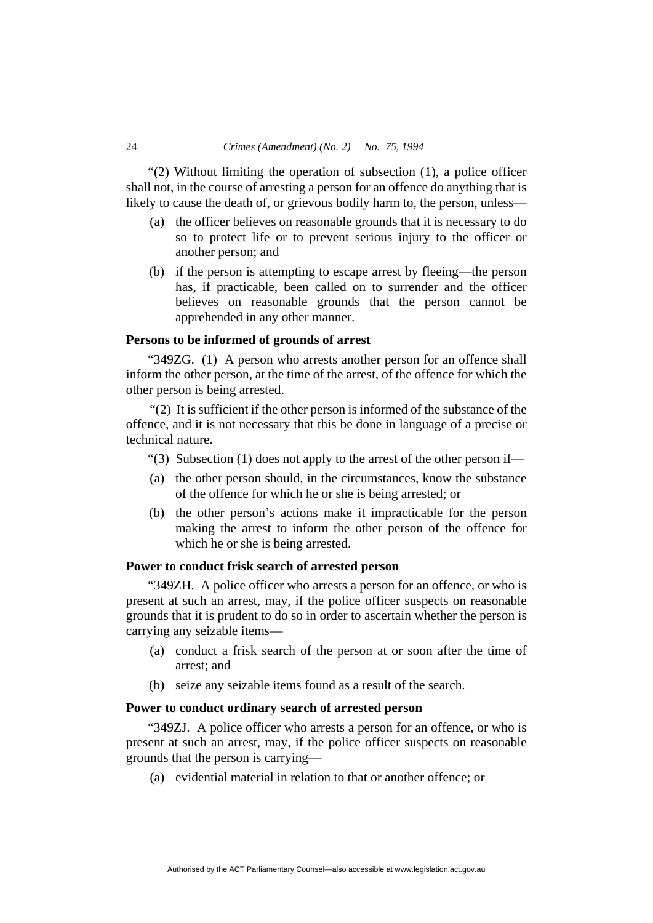"(2) Without limiting the operation of subsection (1), a police officer shall not, in the course of arresting a person for an offence do anything that is likely to cause the death of, or grievous bodily harm to, the person, unless—

- (a) the officer believes on reasonable grounds that it is necessary to do so to protect life or to prevent serious injury to the officer or another person; and
- (b) if the person is attempting to escape arrest by fleeing—the person has, if practicable, been called on to surrender and the officer believes on reasonable grounds that the person cannot be apprehended in any other manner.

## **Persons to be informed of grounds of arrest**

"349ZG. (1) A person who arrests another person for an offence shall inform the other person, at the time of the arrest, of the offence for which the other person is being arrested.

"(2) It is sufficient if the other person is informed of the substance of the offence, and it is not necessary that this be done in language of a precise or technical nature.

- "(3) Subsection (1) does not apply to the arrest of the other person if—
- (a) the other person should, in the circumstances, know the substance of the offence for which he or she is being arrested; or
- (b) the other person's actions make it impracticable for the person making the arrest to inform the other person of the offence for which he or she is being arrested.

#### **Power to conduct frisk search of arrested person**

"349ZH. A police officer who arrests a person for an offence, or who is present at such an arrest, may, if the police officer suspects on reasonable grounds that it is prudent to do so in order to ascertain whether the person is carrying any seizable items—

- (a) conduct a frisk search of the person at or soon after the time of arrest; and
- (b) seize any seizable items found as a result of the search.

### **Power to conduct ordinary search of arrested person**

"349ZJ. A police officer who arrests a person for an offence, or who is present at such an arrest, may, if the police officer suspects on reasonable grounds that the person is carrying—

(a) evidential material in relation to that or another offence; or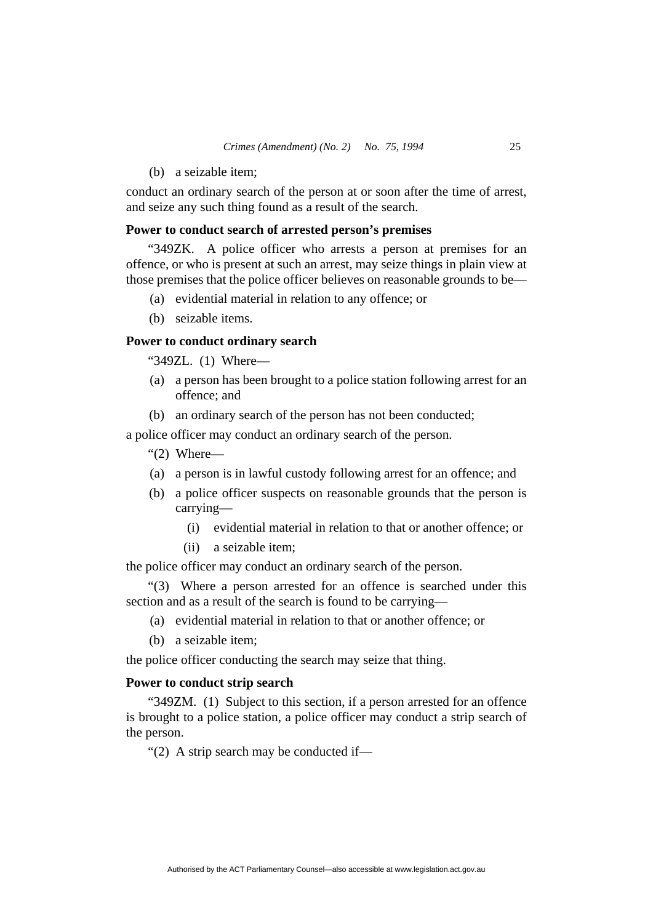(b) a seizable item;

conduct an ordinary search of the person at or soon after the time of arrest, and seize any such thing found as a result of the search.

#### **Power to conduct search of arrested person's premises**

"349ZK. A police officer who arrests a person at premises for an offence, or who is present at such an arrest, may seize things in plain view at those premises that the police officer believes on reasonable grounds to be—

- (a) evidential material in relation to any offence; or
- (b) seizable items.

## **Power to conduct ordinary search**

"349ZL. (1) Where—

- (a) a person has been brought to a police station following arrest for an offence; and
- (b) an ordinary search of the person has not been conducted;

a police officer may conduct an ordinary search of the person.

"(2) Where—

- (a) a person is in lawful custody following arrest for an offence; and
- (b) a police officer suspects on reasonable grounds that the person is carrying—
	- (i) evidential material in relation to that or another offence; or
	- (ii) a seizable item;

the police officer may conduct an ordinary search of the person.

"(3) Where a person arrested for an offence is searched under this section and as a result of the search is found to be carrying—

- (a) evidential material in relation to that or another offence; or
- (b) a seizable item;

the police officer conducting the search may seize that thing.

## **Power to conduct strip search**

"349ZM. (1) Subject to this section, if a person arrested for an offence is brought to a police station, a police officer may conduct a strip search of the person.

"(2) A strip search may be conducted if—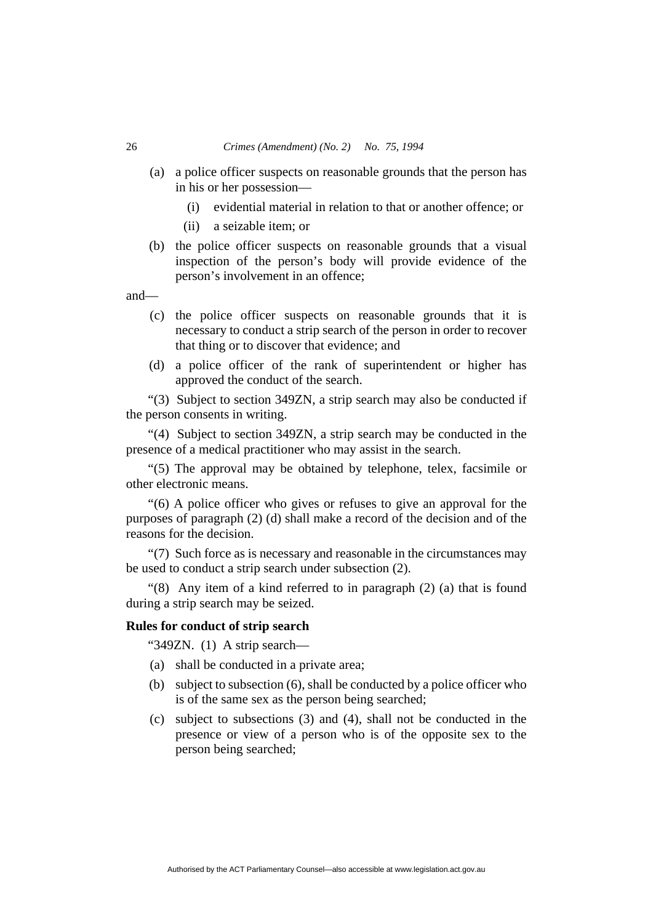#### 26 *Crimes (Amendment) (No. 2) No. 75, 1994*

- (a) a police officer suspects on reasonable grounds that the person has in his or her possession—
	- (i) evidential material in relation to that or another offence; or
	- (ii) a seizable item; or
- (b) the police officer suspects on reasonable grounds that a visual inspection of the person's body will provide evidence of the person's involvement in an offence;

and—

- (c) the police officer suspects on reasonable grounds that it is necessary to conduct a strip search of the person in order to recover that thing or to discover that evidence; and
- (d) a police officer of the rank of superintendent or higher has approved the conduct of the search.

"(3) Subject to section 349ZN, a strip search may also be conducted if the person consents in writing.

"(4) Subject to section 349ZN, a strip search may be conducted in the presence of a medical practitioner who may assist in the search.

"(5) The approval may be obtained by telephone, telex, facsimile or other electronic means.

"(6) A police officer who gives or refuses to give an approval for the purposes of paragraph (2) (d) shall make a record of the decision and of the reasons for the decision.

"(7) Such force as is necessary and reasonable in the circumstances may be used to conduct a strip search under subsection (2).

"(8) Any item of a kind referred to in paragraph (2) (a) that is found during a strip search may be seized.

## **Rules for conduct of strip search**

"349ZN. (1) A strip search—

- (a) shall be conducted in a private area;
- (b) subject to subsection (6), shall be conducted by a police officer who is of the same sex as the person being searched;
- (c) subject to subsections (3) and (4), shall not be conducted in the presence or view of a person who is of the opposite sex to the person being searched;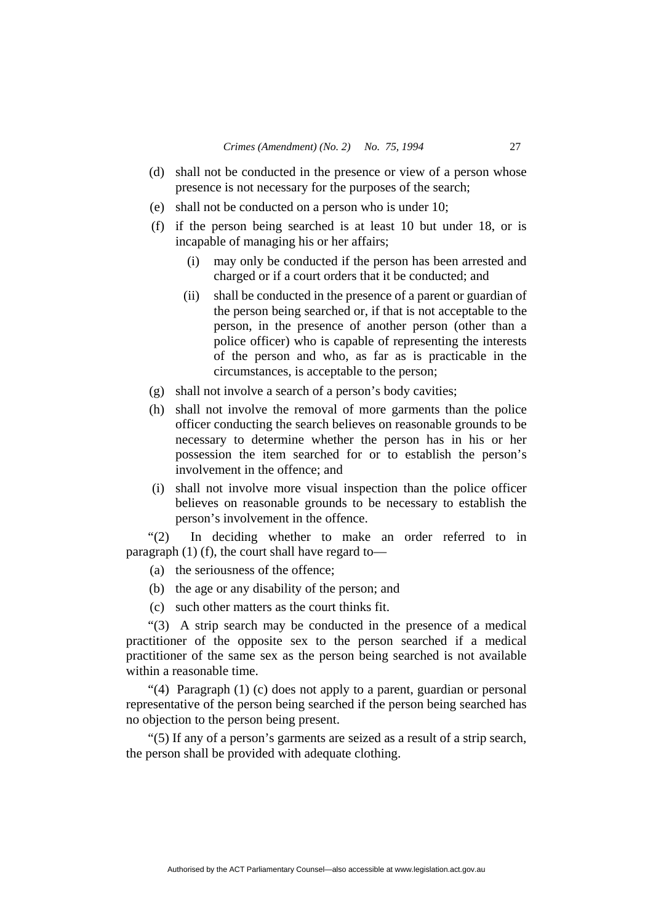- (d) shall not be conducted in the presence or view of a person whose presence is not necessary for the purposes of the search;
- (e) shall not be conducted on a person who is under 10;
- (f) if the person being searched is at least 10 but under 18, or is incapable of managing his or her affairs;
	- (i) may only be conducted if the person has been arrested and charged or if a court orders that it be conducted; and
	- (ii) shall be conducted in the presence of a parent or guardian of the person being searched or, if that is not acceptable to the person, in the presence of another person (other than a police officer) who is capable of representing the interests of the person and who, as far as is practicable in the circumstances, is acceptable to the person;
- (g) shall not involve a search of a person's body cavities;
- (h) shall not involve the removal of more garments than the police officer conducting the search believes on reasonable grounds to be necessary to determine whether the person has in his or her possession the item searched for or to establish the person's involvement in the offence; and
- (i) shall not involve more visual inspection than the police officer believes on reasonable grounds to be necessary to establish the person's involvement in the offence.

"(2) In deciding whether to make an order referred to in paragraph (1) (f), the court shall have regard to—

- (a) the seriousness of the offence;
- (b) the age or any disability of the person; and
- (c) such other matters as the court thinks fit.

"(3) A strip search may be conducted in the presence of a medical practitioner of the opposite sex to the person searched if a medical practitioner of the same sex as the person being searched is not available within a reasonable time.

"(4) Paragraph (1) (c) does not apply to a parent, guardian or personal representative of the person being searched if the person being searched has no objection to the person being present.

"(5) If any of a person's garments are seized as a result of a strip search, the person shall be provided with adequate clothing.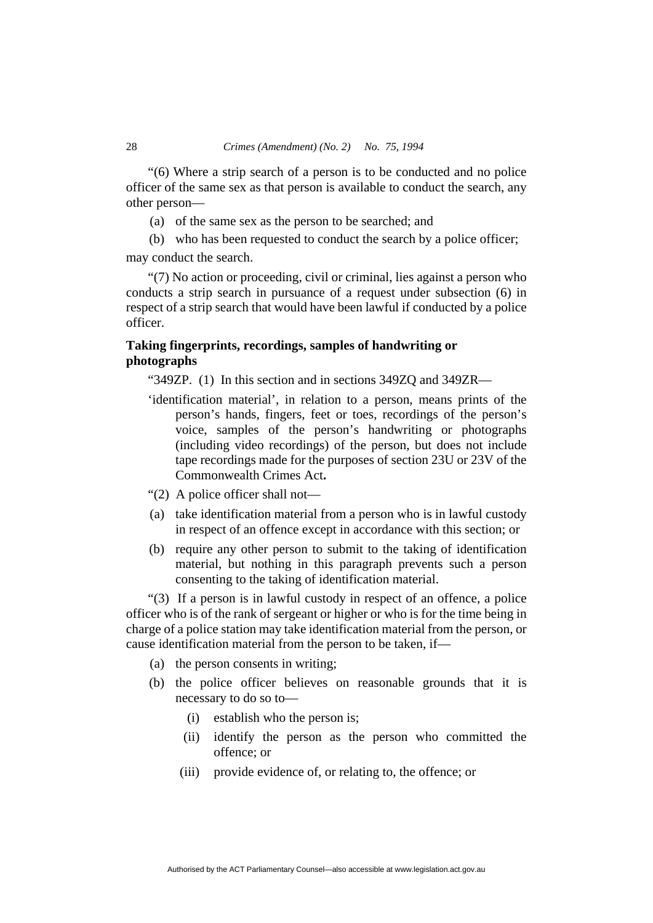"(6) Where a strip search of a person is to be conducted and no police officer of the same sex as that person is available to conduct the search, any other person—

- (a) of the same sex as the person to be searched; and
- (b) who has been requested to conduct the search by a police officer;

may conduct the search.

"(7) No action or proceeding, civil or criminal, lies against a person who conducts a strip search in pursuance of a request under subsection (6) in respect of a strip search that would have been lawful if conducted by a police officer.

# **Taking fingerprints, recordings, samples of handwriting or photographs**

"349ZP. (1) In this section and in sections 349ZQ and 349ZR—

- 'identification material', in relation to a person, means prints of the person's hands, fingers, feet or toes, recordings of the person's voice, samples of the person's handwriting or photographs (including video recordings) of the person, but does not include tape recordings made for the purposes of section 23U or 23V of the Commonwealth Crimes Act**.**
- "(2) A police officer shall not—
- (a) take identification material from a person who is in lawful custody in respect of an offence except in accordance with this section; or
- (b) require any other person to submit to the taking of identification material, but nothing in this paragraph prevents such a person consenting to the taking of identification material.

"(3) If a person is in lawful custody in respect of an offence, a police officer who is of the rank of sergeant or higher or who is for the time being in charge of a police station may take identification material from the person, or cause identification material from the person to be taken, if—

- (a) the person consents in writing;
- (b) the police officer believes on reasonable grounds that it is necessary to do so to—
	- (i) establish who the person is;
	- (ii) identify the person as the person who committed the offence; or
	- (iii) provide evidence of, or relating to, the offence; or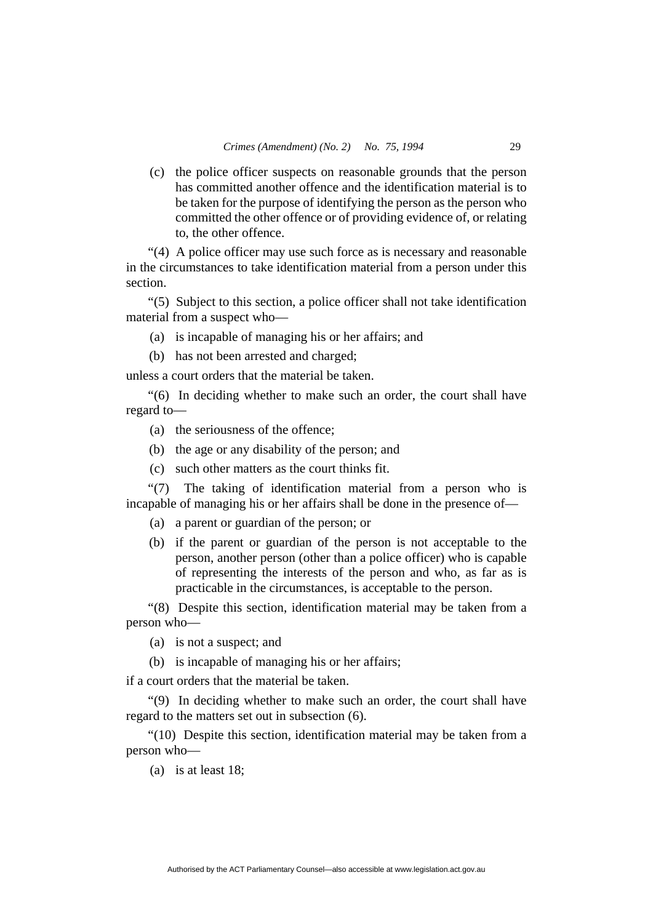(c) the police officer suspects on reasonable grounds that the person has committed another offence and the identification material is to be taken for the purpose of identifying the person as the person who committed the other offence or of providing evidence of, or relating to, the other offence.

"(4) A police officer may use such force as is necessary and reasonable in the circumstances to take identification material from a person under this section.

"(5) Subject to this section, a police officer shall not take identification material from a suspect who—

- (a) is incapable of managing his or her affairs; and
- (b) has not been arrested and charged;

unless a court orders that the material be taken.

"(6) In deciding whether to make such an order, the court shall have regard to—

- (a) the seriousness of the offence;
- (b) the age or any disability of the person; and
- (c) such other matters as the court thinks fit.

"(7) The taking of identification material from a person who is incapable of managing his or her affairs shall be done in the presence of—

- (a) a parent or guardian of the person; or
- (b) if the parent or guardian of the person is not acceptable to the person, another person (other than a police officer) who is capable of representing the interests of the person and who, as far as is practicable in the circumstances, is acceptable to the person.

"(8) Despite this section, identification material may be taken from a person who—

(a) is not a suspect; and

(b) is incapable of managing his or her affairs;

if a court orders that the material be taken.

"(9) In deciding whether to make such an order, the court shall have regard to the matters set out in subsection (6).

"(10) Despite this section, identification material may be taken from a person who—

(a) is at least 18;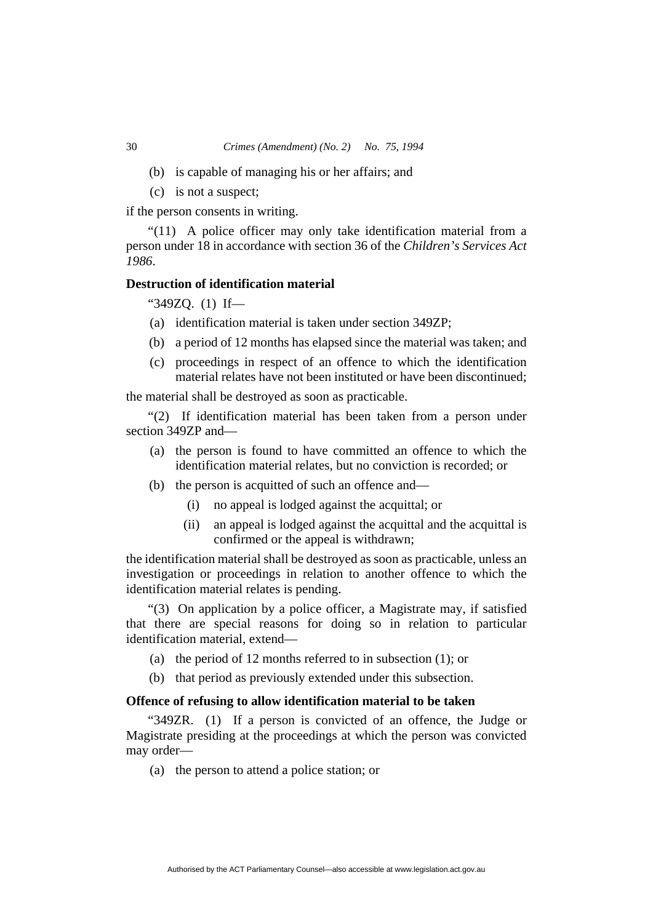- (b) is capable of managing his or her affairs; and
- (c) is not a suspect;

if the person consents in writing.

"(11) A police officer may only take identification material from a person under 18 in accordance with section 36 of the *Children's Services Act 1986*.

## **Destruction of identification material**

"349ZQ. (1) If—

- (a) identification material is taken under section 349ZP;
- (b) a period of 12 months has elapsed since the material was taken; and
- (c) proceedings in respect of an offence to which the identification material relates have not been instituted or have been discontinued;

the material shall be destroyed as soon as practicable.

"(2) If identification material has been taken from a person under section 349ZP and—

- (a) the person is found to have committed an offence to which the identification material relates, but no conviction is recorded; or
- (b) the person is acquitted of such an offence and—
	- (i) no appeal is lodged against the acquittal; or
	- (ii) an appeal is lodged against the acquittal and the acquittal is confirmed or the appeal is withdrawn;

the identification material shall be destroyed as soon as practicable, unless an investigation or proceedings in relation to another offence to which the identification material relates is pending.

"(3) On application by a police officer, a Magistrate may, if satisfied that there are special reasons for doing so in relation to particular identification material, extend—

- (a) the period of 12 months referred to in subsection  $(1)$ ; or
- (b) that period as previously extended under this subsection.

## **Offence of refusing to allow identification material to be taken**

"349ZR. (1) If a person is convicted of an offence, the Judge or Magistrate presiding at the proceedings at which the person was convicted may order—

(a) the person to attend a police station; or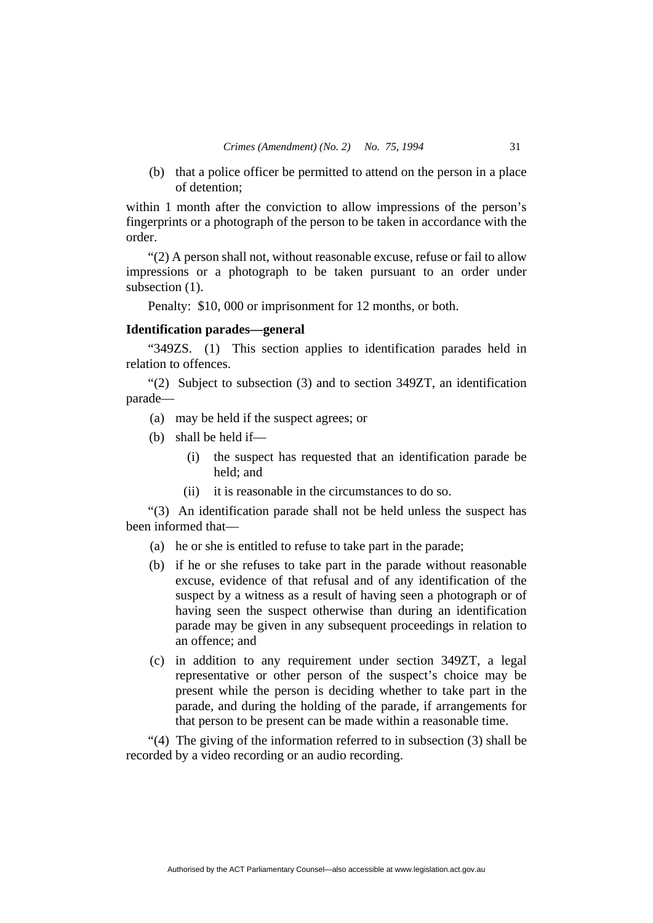(b) that a police officer be permitted to attend on the person in a place of detention;

within 1 month after the conviction to allow impressions of the person's fingerprints or a photograph of the person to be taken in accordance with the order.

"(2) A person shall not, without reasonable excuse, refuse or fail to allow impressions or a photograph to be taken pursuant to an order under subsection  $(1)$ .

Penalty: \$10, 000 or imprisonment for 12 months, or both.

## **Identification parades—general**

"349ZS. (1) This section applies to identification parades held in relation to offences.

"(2) Subject to subsection (3) and to section 349ZT, an identification parade—

- (a) may be held if the suspect agrees; or
- (b) shall be held if—
	- (i) the suspect has requested that an identification parade be held; and
	- (ii) it is reasonable in the circumstances to do so.

"(3) An identification parade shall not be held unless the suspect has been informed that—

- (a) he or she is entitled to refuse to take part in the parade;
- (b) if he or she refuses to take part in the parade without reasonable excuse, evidence of that refusal and of any identification of the suspect by a witness as a result of having seen a photograph or of having seen the suspect otherwise than during an identification parade may be given in any subsequent proceedings in relation to an offence; and
- (c) in addition to any requirement under section 349ZT, a legal representative or other person of the suspect's choice may be present while the person is deciding whether to take part in the parade, and during the holding of the parade, if arrangements for that person to be present can be made within a reasonable time.

"(4) The giving of the information referred to in subsection (3) shall be recorded by a video recording or an audio recording.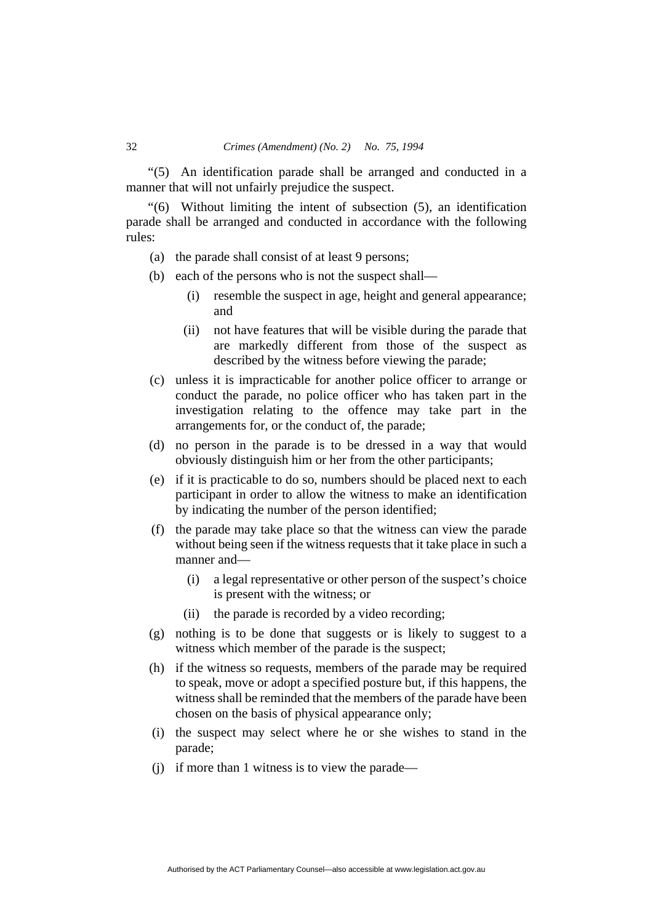"(5) An identification parade shall be arranged and conducted in a manner that will not unfairly prejudice the suspect.

"(6) Without limiting the intent of subsection (5), an identification parade shall be arranged and conducted in accordance with the following rules:

- (a) the parade shall consist of at least 9 persons;
- (b) each of the persons who is not the suspect shall—
	- (i) resemble the suspect in age, height and general appearance; and
	- (ii) not have features that will be visible during the parade that are markedly different from those of the suspect as described by the witness before viewing the parade;
- (c) unless it is impracticable for another police officer to arrange or conduct the parade, no police officer who has taken part in the investigation relating to the offence may take part in the arrangements for, or the conduct of, the parade;
- (d) no person in the parade is to be dressed in a way that would obviously distinguish him or her from the other participants;
- (e) if it is practicable to do so, numbers should be placed next to each participant in order to allow the witness to make an identification by indicating the number of the person identified;
- (f) the parade may take place so that the witness can view the parade without being seen if the witness requests that it take place in such a manner and—
	- (i) a legal representative or other person of the suspect's choice is present with the witness; or
	- (ii) the parade is recorded by a video recording;
- (g) nothing is to be done that suggests or is likely to suggest to a witness which member of the parade is the suspect;
- (h) if the witness so requests, members of the parade may be required to speak, move or adopt a specified posture but, if this happens, the witness shall be reminded that the members of the parade have been chosen on the basis of physical appearance only;
- (i) the suspect may select where he or she wishes to stand in the parade;
- (j) if more than 1 witness is to view the parade—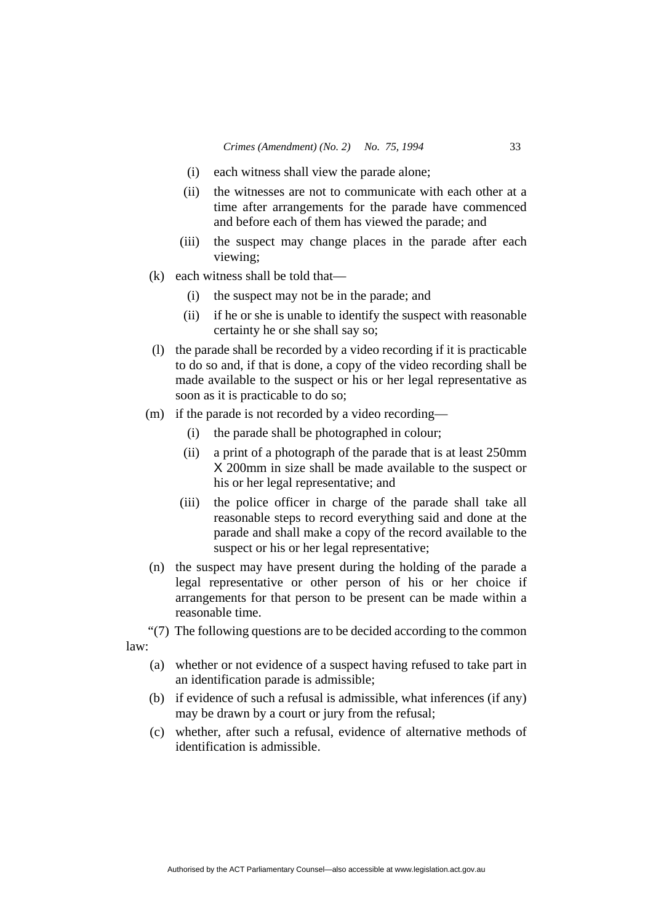- (i) each witness shall view the parade alone;
- (ii) the witnesses are not to communicate with each other at a time after arrangements for the parade have commenced and before each of them has viewed the parade; and
- (iii) the suspect may change places in the parade after each viewing;
- (k) each witness shall be told that—
	- (i) the suspect may not be in the parade; and
	- (ii) if he or she is unable to identify the suspect with reasonable certainty he or she shall say so;
- (l) the parade shall be recorded by a video recording if it is practicable to do so and, if that is done, a copy of the video recording shall be made available to the suspect or his or her legal representative as soon as it is practicable to do so;
- (m) if the parade is not recorded by a video recording—
	- (i) the parade shall be photographed in colour;
	- (ii) a print of a photograph of the parade that is at least 250mm X 200mm in size shall be made available to the suspect or his or her legal representative; and
	- (iii) the police officer in charge of the parade shall take all reasonable steps to record everything said and done at the parade and shall make a copy of the record available to the suspect or his or her legal representative;
- (n) the suspect may have present during the holding of the parade a legal representative or other person of his or her choice if arrangements for that person to be present can be made within a reasonable time.

"(7) The following questions are to be decided according to the common law:

- (a) whether or not evidence of a suspect having refused to take part in an identification parade is admissible;
- (b) if evidence of such a refusal is admissible, what inferences (if any) may be drawn by a court or jury from the refusal;
- (c) whether, after such a refusal, evidence of alternative methods of identification is admissible.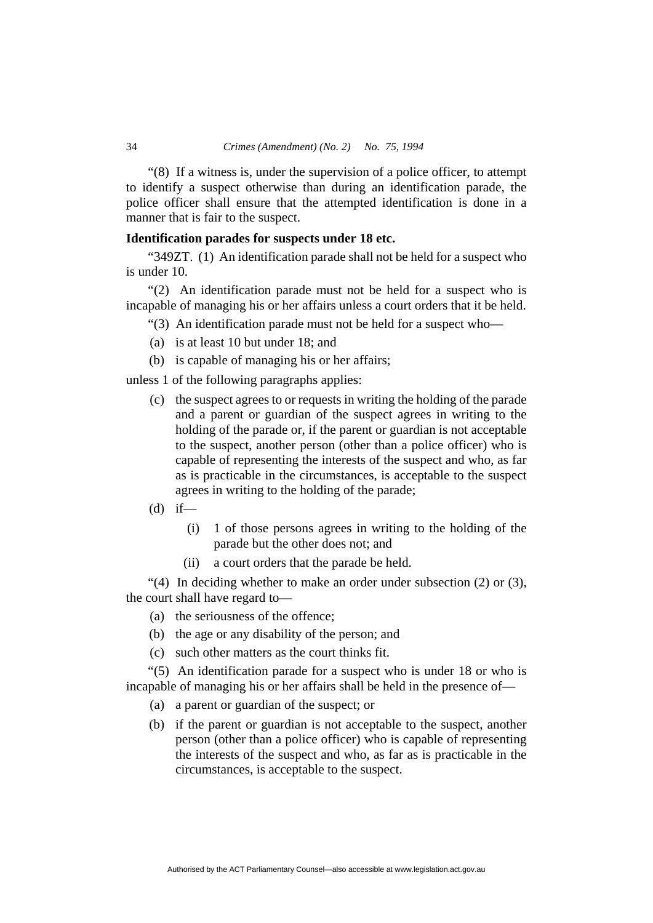"(8) If a witness is, under the supervision of a police officer, to attempt to identify a suspect otherwise than during an identification parade, the police officer shall ensure that the attempted identification is done in a manner that is fair to the suspect.

## **Identification parades for suspects under 18 etc.**

"349ZT. (1) An identification parade shall not be held for a suspect who is under 10.

"(2) An identification parade must not be held for a suspect who is incapable of managing his or her affairs unless a court orders that it be held.

"(3) An identification parade must not be held for a suspect who—

- (a) is at least 10 but under 18; and
- (b) is capable of managing his or her affairs;

unless 1 of the following paragraphs applies:

- (c) the suspect agrees to or requests in writing the holding of the parade and a parent or guardian of the suspect agrees in writing to the holding of the parade or, if the parent or guardian is not acceptable to the suspect, another person (other than a police officer) who is capable of representing the interests of the suspect and who, as far as is practicable in the circumstances, is acceptable to the suspect agrees in writing to the holding of the parade;
- $(d)$  if—
	- (i) 1 of those persons agrees in writing to the holding of the parade but the other does not; and
	- (ii) a court orders that the parade be held.

"(4) In deciding whether to make an order under subsection  $(2)$  or  $(3)$ , the court shall have regard to—

- (a) the seriousness of the offence;
- (b) the age or any disability of the person; and
- (c) such other matters as the court thinks fit.

"(5) An identification parade for a suspect who is under 18 or who is incapable of managing his or her affairs shall be held in the presence of—

- (a) a parent or guardian of the suspect; or
- (b) if the parent or guardian is not acceptable to the suspect, another person (other than a police officer) who is capable of representing the interests of the suspect and who, as far as is practicable in the circumstances, is acceptable to the suspect.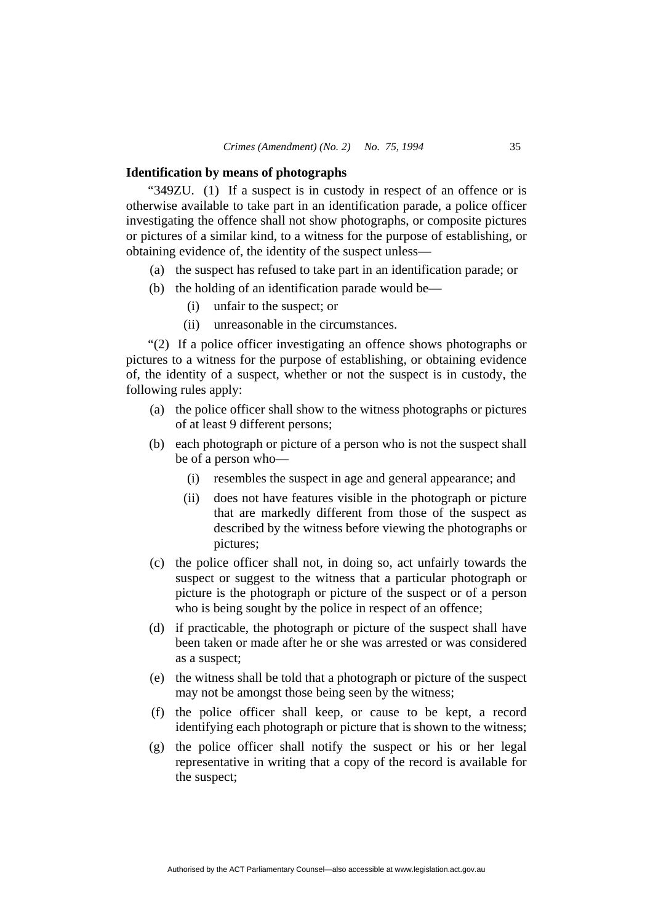#### **Identification by means of photographs**

"349ZU. (1) If a suspect is in custody in respect of an offence or is otherwise available to take part in an identification parade, a police officer investigating the offence shall not show photographs, or composite pictures or pictures of a similar kind, to a witness for the purpose of establishing, or obtaining evidence of, the identity of the suspect unless—

- (a) the suspect has refused to take part in an identification parade; or
- (b) the holding of an identification parade would be—
	- (i) unfair to the suspect; or
	- (ii) unreasonable in the circumstances.

"(2) If a police officer investigating an offence shows photographs or pictures to a witness for the purpose of establishing, or obtaining evidence of, the identity of a suspect, whether or not the suspect is in custody, the following rules apply:

- (a) the police officer shall show to the witness photographs or pictures of at least 9 different persons;
- (b) each photograph or picture of a person who is not the suspect shall be of a person who—
	- (i) resembles the suspect in age and general appearance; and
	- (ii) does not have features visible in the photograph or picture that are markedly different from those of the suspect as described by the witness before viewing the photographs or pictures;
- (c) the police officer shall not, in doing so, act unfairly towards the suspect or suggest to the witness that a particular photograph or picture is the photograph or picture of the suspect or of a person who is being sought by the police in respect of an offence:
- (d) if practicable, the photograph or picture of the suspect shall have been taken or made after he or she was arrested or was considered as a suspect;
- (e) the witness shall be told that a photograph or picture of the suspect may not be amongst those being seen by the witness;
- (f) the police officer shall keep, or cause to be kept, a record identifying each photograph or picture that is shown to the witness;
- (g) the police officer shall notify the suspect or his or her legal representative in writing that a copy of the record is available for the suspect;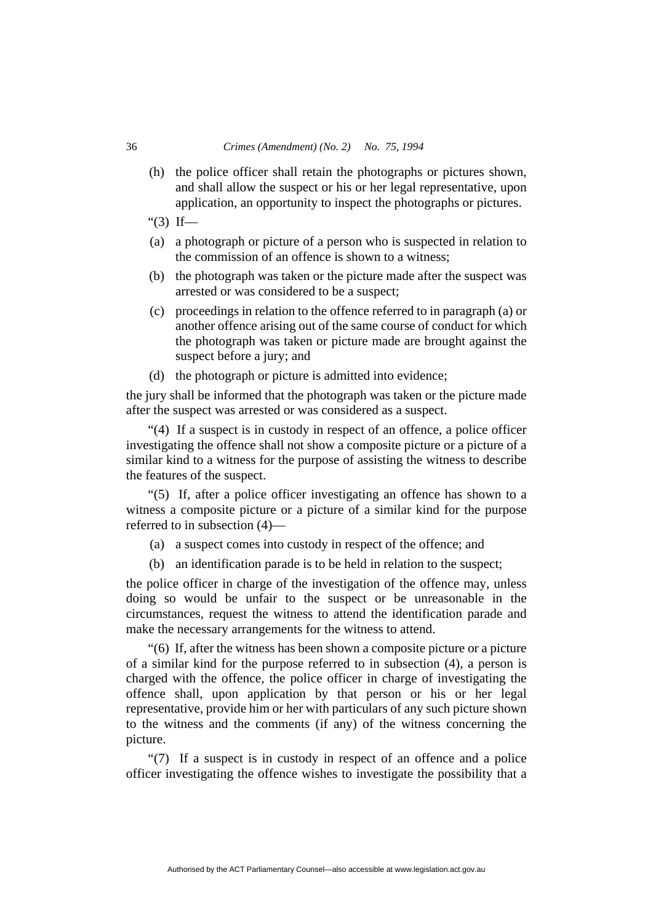- (h) the police officer shall retain the photographs or pictures shown, and shall allow the suspect or his or her legal representative, upon application, an opportunity to inspect the photographs or pictures.
- " $(3)$  If—
- (a) a photograph or picture of a person who is suspected in relation to the commission of an offence is shown to a witness;
- (b) the photograph was taken or the picture made after the suspect was arrested or was considered to be a suspect;
- (c) proceedings in relation to the offence referred to in paragraph (a) or another offence arising out of the same course of conduct for which the photograph was taken or picture made are brought against the suspect before a jury; and
- (d) the photograph or picture is admitted into evidence;

the jury shall be informed that the photograph was taken or the picture made after the suspect was arrested or was considered as a suspect.

"(4) If a suspect is in custody in respect of an offence, a police officer investigating the offence shall not show a composite picture or a picture of a similar kind to a witness for the purpose of assisting the witness to describe the features of the suspect.

"(5) If, after a police officer investigating an offence has shown to a witness a composite picture or a picture of a similar kind for the purpose referred to in subsection (4)—

- (a) a suspect comes into custody in respect of the offence; and
- (b) an identification parade is to be held in relation to the suspect;

the police officer in charge of the investigation of the offence may, unless doing so would be unfair to the suspect or be unreasonable in the circumstances, request the witness to attend the identification parade and make the necessary arrangements for the witness to attend.

"(6) If, after the witness has been shown a composite picture or a picture of a similar kind for the purpose referred to in subsection (4), a person is charged with the offence, the police officer in charge of investigating the offence shall, upon application by that person or his or her legal representative, provide him or her with particulars of any such picture shown to the witness and the comments (if any) of the witness concerning the picture.

"(7) If a suspect is in custody in respect of an offence and a police officer investigating the offence wishes to investigate the possibility that a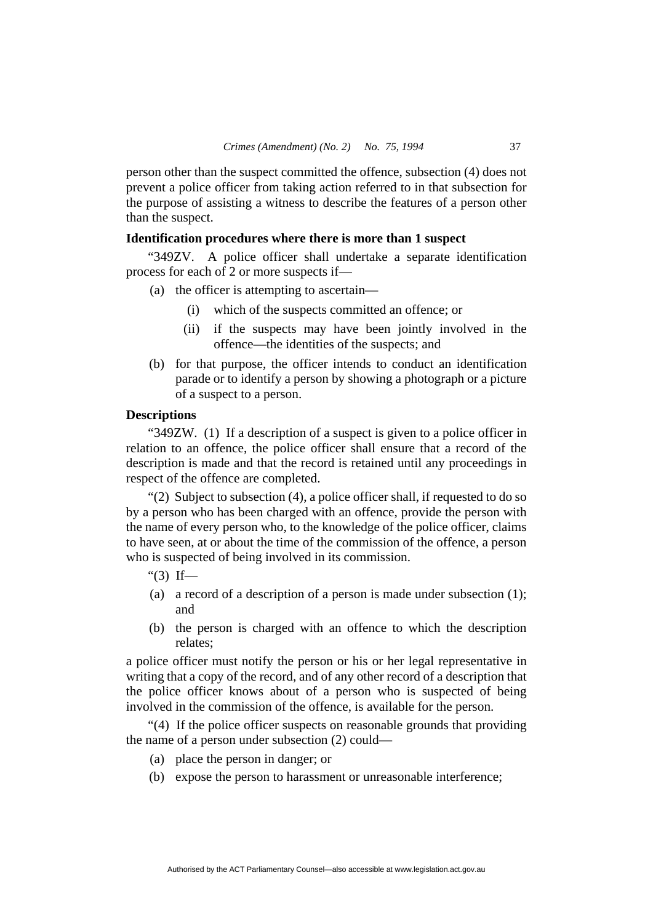person other than the suspect committed the offence, subsection (4) does not prevent a police officer from taking action referred to in that subsection for the purpose of assisting a witness to describe the features of a person other than the suspect.

## **Identification procedures where there is more than 1 suspect**

"349ZV. A police officer shall undertake a separate identification process for each of 2 or more suspects if—

- (a) the officer is attempting to ascertain—
	- (i) which of the suspects committed an offence; or
	- (ii) if the suspects may have been jointly involved in the offence—the identities of the suspects; and
- (b) for that purpose, the officer intends to conduct an identification parade or to identify a person by showing a photograph or a picture of a suspect to a person.

## **Descriptions**

"349ZW. (1) If a description of a suspect is given to a police officer in relation to an offence, the police officer shall ensure that a record of the description is made and that the record is retained until any proceedings in respect of the offence are completed.

"(2) Subject to subsection (4), a police officer shall, if requested to do so by a person who has been charged with an offence, provide the person with the name of every person who, to the knowledge of the police officer, claims to have seen, at or about the time of the commission of the offence, a person who is suspected of being involved in its commission.

#### " $(3)$  If—

- (a) a record of a description of a person is made under subsection (1); and
- (b) the person is charged with an offence to which the description relates;

a police officer must notify the person or his or her legal representative in writing that a copy of the record, and of any other record of a description that the police officer knows about of a person who is suspected of being involved in the commission of the offence, is available for the person.

"(4) If the police officer suspects on reasonable grounds that providing the name of a person under subsection (2) could—

- (a) place the person in danger; or
- (b) expose the person to harassment or unreasonable interference;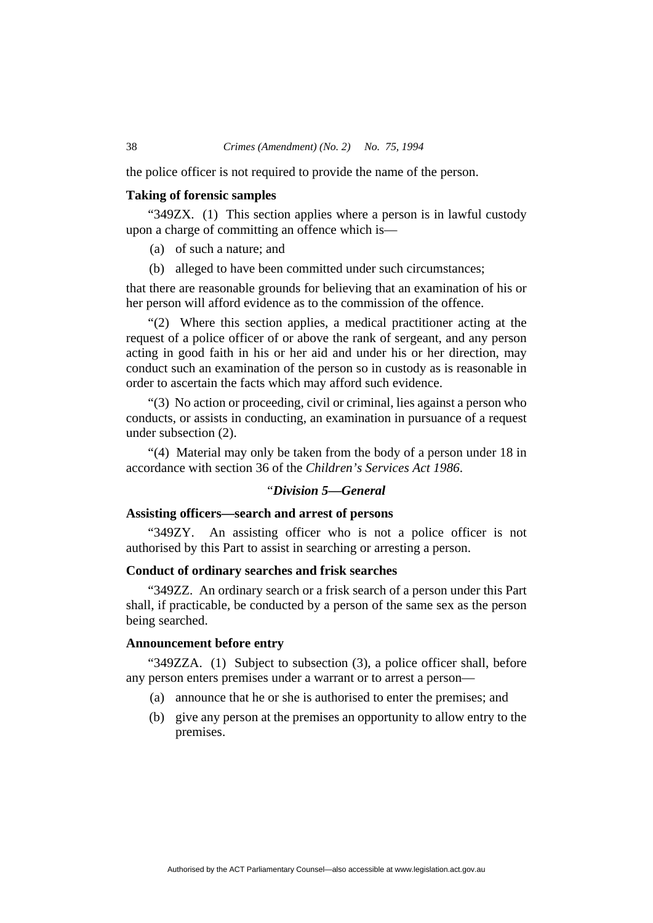the police officer is not required to provide the name of the person.

## **Taking of forensic samples**

"349ZX. (1) This section applies where a person is in lawful custody upon a charge of committing an offence which is—

- (a) of such a nature; and
- (b) alleged to have been committed under such circumstances;

that there are reasonable grounds for believing that an examination of his or her person will afford evidence as to the commission of the offence.

"(2) Where this section applies, a medical practitioner acting at the request of a police officer of or above the rank of sergeant, and any person acting in good faith in his or her aid and under his or her direction, may conduct such an examination of the person so in custody as is reasonable in order to ascertain the facts which may afford such evidence.

"(3) No action or proceeding, civil or criminal, lies against a person who conducts, or assists in conducting, an examination in pursuance of a request under subsection (2).

"(4) Material may only be taken from the body of a person under 18 in accordance with section 36 of the *Children's Services Act 1986*.

## "*Division 5—General*

## **Assisting officers—search and arrest of persons**

"349ZY. An assisting officer who is not a police officer is not authorised by this Part to assist in searching or arresting a person.

## **Conduct of ordinary searches and frisk searches**

"349ZZ. An ordinary search or a frisk search of a person under this Part shall, if practicable, be conducted by a person of the same sex as the person being searched.

## **Announcement before entry**

"349ZZA. (1) Subject to subsection (3), a police officer shall, before any person enters premises under a warrant or to arrest a person—

- (a) announce that he or she is authorised to enter the premises; and
- (b) give any person at the premises an opportunity to allow entry to the premises.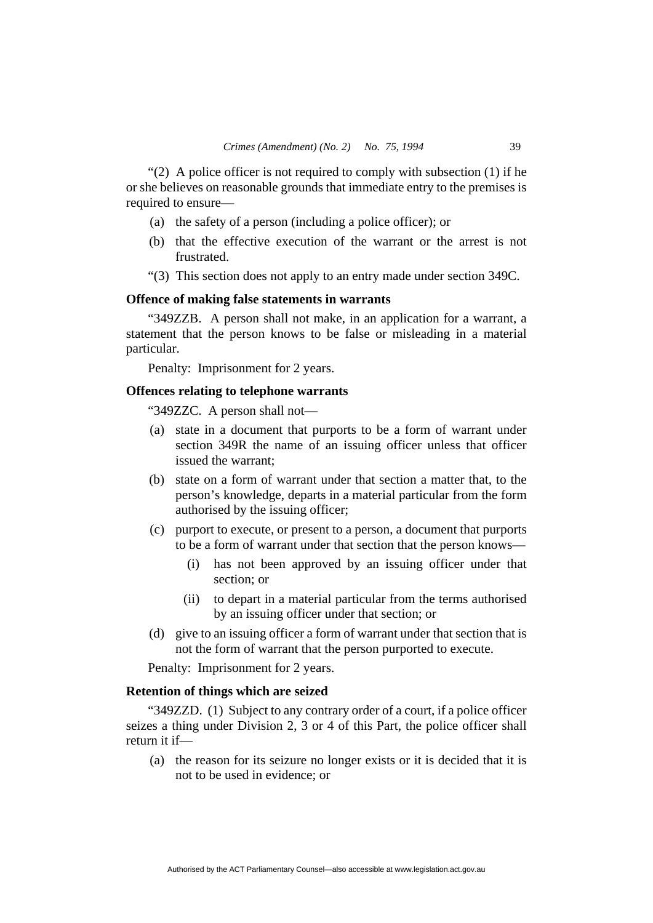"(2) A police officer is not required to comply with subsection  $(1)$  if he or she believes on reasonable grounds that immediate entry to the premises is required to ensure—

- (a) the safety of a person (including a police officer); or
- (b) that the effective execution of the warrant or the arrest is not frustrated.
- "(3) This section does not apply to an entry made under section 349C.

## **Offence of making false statements in warrants**

"349ZZB. A person shall not make, in an application for a warrant, a statement that the person knows to be false or misleading in a material particular.

Penalty: Imprisonment for 2 years.

## **Offences relating to telephone warrants**

"349ZZC. A person shall not—

- (a) state in a document that purports to be a form of warrant under section 349R the name of an issuing officer unless that officer issued the warrant;
- (b) state on a form of warrant under that section a matter that, to the person's knowledge, departs in a material particular from the form authorised by the issuing officer;
- (c) purport to execute, or present to a person, a document that purports to be a form of warrant under that section that the person knows—
	- (i) has not been approved by an issuing officer under that section; or
	- (ii) to depart in a material particular from the terms authorised by an issuing officer under that section; or
- (d) give to an issuing officer a form of warrant under that section that is not the form of warrant that the person purported to execute.

Penalty: Imprisonment for 2 years.

## **Retention of things which are seized**

"349ZZD. (1) Subject to any contrary order of a court, if a police officer seizes a thing under Division 2, 3 or 4 of this Part, the police officer shall return it if—

 (a) the reason for its seizure no longer exists or it is decided that it is not to be used in evidence; or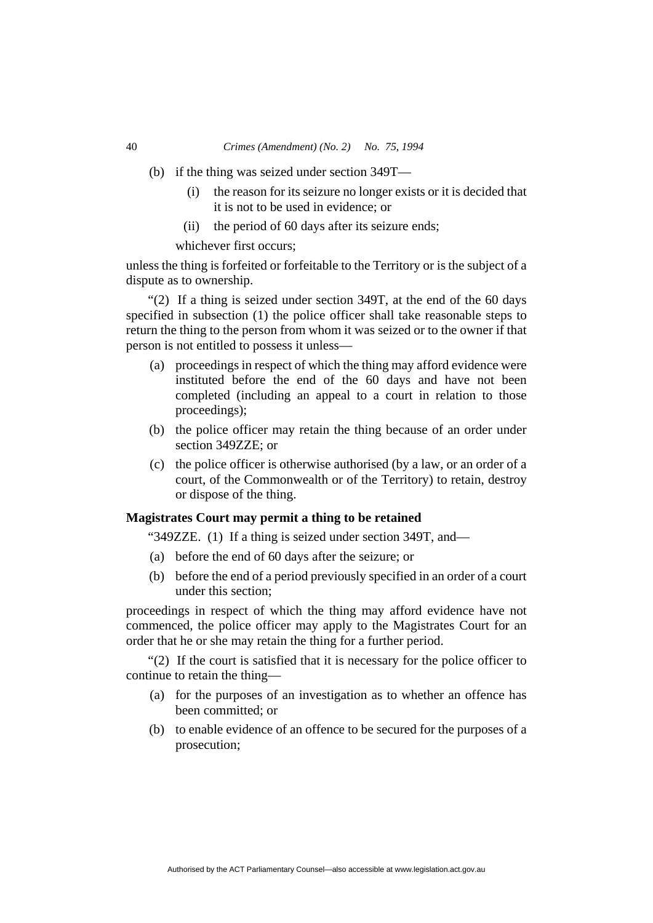#### 40 *Crimes (Amendment) (No. 2) No. 75, 1994*

- (b) if the thing was seized under section 349T—
	- (i) the reason for its seizure no longer exists or it is decided that it is not to be used in evidence; or
	- (ii) the period of 60 days after its seizure ends;

whichever first occurs;

unless the thing is forfeited or forfeitable to the Territory or is the subject of a dispute as to ownership.

"(2) If a thing is seized under section 349T, at the end of the 60 days specified in subsection (1) the police officer shall take reasonable steps to return the thing to the person from whom it was seized or to the owner if that person is not entitled to possess it unless—

- (a) proceedings in respect of which the thing may afford evidence were instituted before the end of the 60 days and have not been completed (including an appeal to a court in relation to those proceedings);
- (b) the police officer may retain the thing because of an order under section 349ZZE; or
- (c) the police officer is otherwise authorised (by a law, or an order of a court, of the Commonwealth or of the Territory) to retain, destroy or dispose of the thing.

## **Magistrates Court may permit a thing to be retained**

"349ZZE. (1) If a thing is seized under section 349T, and—

- (a) before the end of 60 days after the seizure; or
- (b) before the end of a period previously specified in an order of a court under this section;

proceedings in respect of which the thing may afford evidence have not commenced, the police officer may apply to the Magistrates Court for an order that he or she may retain the thing for a further period.

"(2) If the court is satisfied that it is necessary for the police officer to continue to retain the thing—

- (a) for the purposes of an investigation as to whether an offence has been committed; or
- (b) to enable evidence of an offence to be secured for the purposes of a prosecution;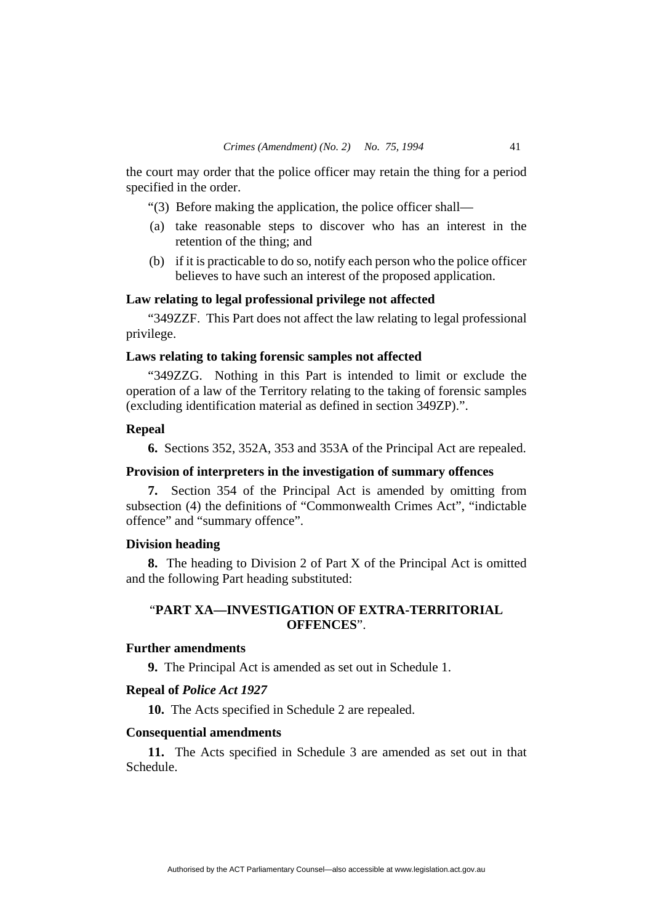the court may order that the police officer may retain the thing for a period specified in the order.

"(3) Before making the application, the police officer shall—

- (a) take reasonable steps to discover who has an interest in the retention of the thing; and
- (b) if it is practicable to do so, notify each person who the police officer believes to have such an interest of the proposed application.

#### **Law relating to legal professional privilege not affected**

"349ZZF. This Part does not affect the law relating to legal professional privilege.

## **Laws relating to taking forensic samples not affected**

"349ZZG. Nothing in this Part is intended to limit or exclude the operation of a law of the Territory relating to the taking of forensic samples (excluding identification material as defined in section 349ZP).".

## **Repeal**

**6.** Sections 352, 352A, 353 and 353A of the Principal Act are repealed.

#### **Provision of interpreters in the investigation of summary offences**

**7.** Section 354 of the Principal Act is amended by omitting from subsection (4) the definitions of "Commonwealth Crimes Act", "indictable offence" and "summary offence".

### **Division heading**

**8.** The heading to Division 2 of Part X of the Principal Act is omitted and the following Part heading substituted:

# "**PART XA—INVESTIGATION OF EXTRA-TERRITORIAL OFFENCES**".

# **Further amendments**

**9.** The Principal Act is amended as set out in Schedule 1.

## **Repeal of** *Police Act 1927*

**10.** The Acts specified in Schedule 2 are repealed.

#### **Consequential amendments**

**11.** The Acts specified in Schedule 3 are amended as set out in that Schedule.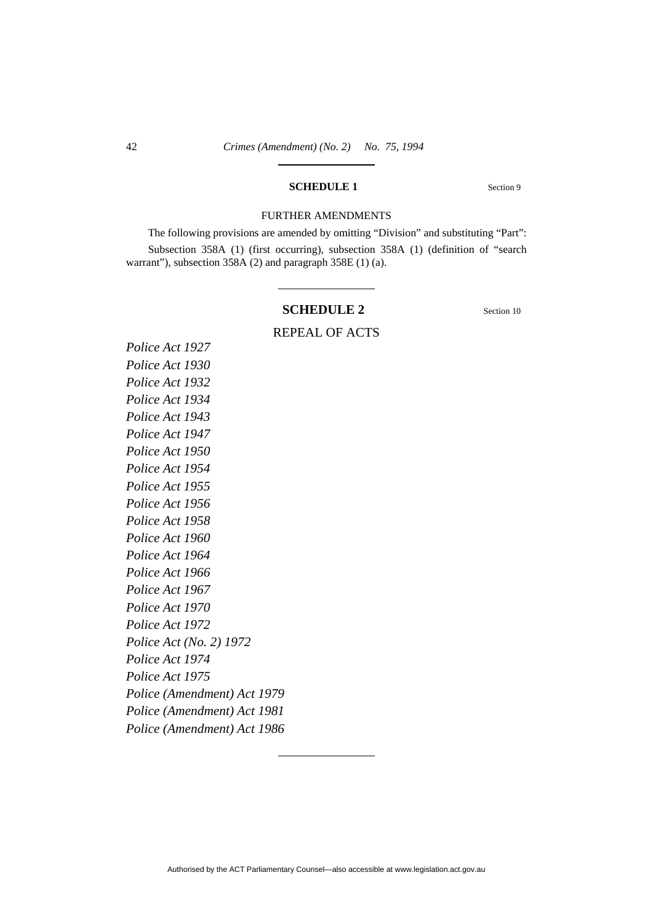### **SCHEDULE 1** Section 9

#### FURTHER AMENDMENTS

The following provisions are amended by omitting "Division" and substituting "Part": Subsection 358A (1) (first occurring), subsection 358A (1) (definition of "search warrant"), subsection 358A (2) and paragraph 358E (1) (a).

## **SCHEDULE 2** Section 10

REPEAL OF ACTS

# *Police Act 1927 Police Act 1930 Police Act 1932 Police Act 1934 Police Act 1943 Police Act 1947 Police Act 1950 Police Act 1954 Police Act 1955 Police Act 1956 Police Act 1958 Police Act 1960 Police Act 1964 Police Act 1966 Police Act 1967 Police Act 1970 Police Act 1972 Police Act (No. 2) 1972 Police Act 1974 Police Act 1975 Police (Amendment) Act 1979 Police (Amendment) Act 1981 Police (Amendment) Act 1986*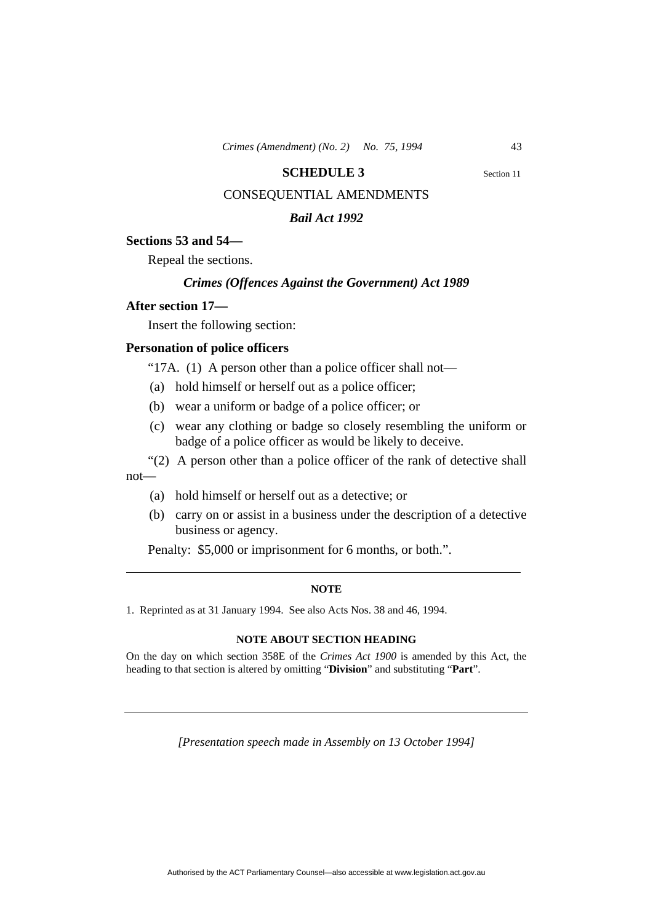#### **SCHEDULE 3** Section 11

# CONSEQUENTIAL AMENDMENTS

## *Bail Act 1992*

## **Sections 53 and 54—**

Repeal the sections.

## *Crimes (Offences Against the Government) Act 1989*

## **After section 17—**

Insert the following section:

## **Personation of police officers**

"17A. (1) A person other than a police officer shall not—

- (a) hold himself or herself out as a police officer;
- (b) wear a uniform or badge of a police officer; or
- (c) wear any clothing or badge so closely resembling the uniform or badge of a police officer as would be likely to deceive.
- "(2) A person other than a police officer of the rank of detective shall not—
	- (a) hold himself or herself out as a detective; or
	- (b) carry on or assist in a business under the description of a detective business or agency.

Penalty: \$5,000 or imprisonment for 6 months, or both.".

#### **NOTE**

1. Reprinted as at 31 January 1994. See also Acts Nos. 38 and 46, 1994.

#### **NOTE ABOUT SECTION HEADING**

On the day on which section 358E of the *Crimes Act 1900* is amended by this Act, the heading to that section is altered by omitting "**Division**" and substituting "**Part**".

*[Presentation speech made in Assembly on 13 October 1994]*